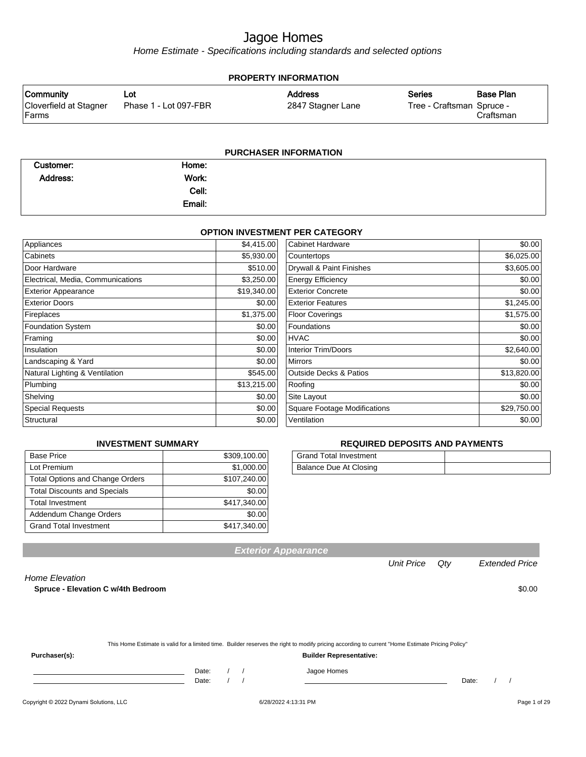Home Estimate - Specifications including standards and selected options

| <b>PROPERTY INFORMATION</b>      |                       |                   |                           |           |
|----------------------------------|-----------------------|-------------------|---------------------------|-----------|
| Community                        | ∟ot                   | <b>Address</b>    | <b>Series</b>             | Base Plan |
| Cloverfield at Stagner<br> Farms | Phase 1 - Lot 097-FBR | 2847 Stagner Lane | Tree - Craftsman Spruce - | Craftsman |
|                                  |                       |                   |                           |           |

#### **PURCHASER INFORMATION**

| Customer:       | Home:  |  |
|-----------------|--------|--|
| <b>Address:</b> | Work:  |  |
|                 | Cell:  |  |
|                 | Email: |  |

#### **OPTION INVESTMENT PER CATEGORY**

| Appliances                        | \$4,415.00  | <b>Cabinet Hardware</b>             | \$0.00      |
|-----------------------------------|-------------|-------------------------------------|-------------|
| Cabinets                          | \$5,930.00  | Countertops                         | \$6,025.00  |
| Door Hardware                     | \$510.00    | Drywall & Paint Finishes            | \$3,605.00  |
| Electrical, Media, Communications | \$3,250.00  | <b>Energy Efficiency</b>            | \$0.00      |
| <b>Exterior Appearance</b>        | \$19,340.00 | <b>Exterior Concrete</b>            | \$0.00      |
| <b>Exterior Doors</b>             | \$0.00      | <b>Exterior Features</b>            | \$1,245.00  |
| Fireplaces                        | \$1,375.00  | <b>Floor Coverings</b>              | \$1,575.00  |
| <b>Foundation System</b>          | \$0.00      | <b>Foundations</b>                  | \$0.00      |
| Framing                           | \$0.00      | <b>HVAC</b>                         | \$0.00      |
| Insulation                        | \$0.00      | <b>Interior Trim/Doors</b>          | \$2,640.00  |
| Landscaping & Yard                | \$0.00      | <b>Mirrors</b>                      | \$0.00      |
| Natural Lighting & Ventilation    | \$545.00    | <b>Outside Decks &amp; Patios</b>   | \$13,820.00 |
| Plumbing                          | \$13,215.00 | Roofing                             | \$0.00      |
| Shelving                          | \$0.00      | Site Layout                         | \$0.00      |
| <b>Special Requests</b>           | \$0.00      | <b>Square Footage Modifications</b> | \$29,750.00 |
| Structural                        | \$0.00      | Ventilation                         | \$0.00      |

#### **INVESTMENT SUMMARY**

| <b>Base Price</b>                      | \$309,100.00 |
|----------------------------------------|--------------|
| Lot Premium                            | \$1,000.00   |
| <b>Total Options and Change Orders</b> | \$107,240.00 |
| <b>Total Discounts and Specials</b>    | \$0.00       |
| <b>Total Investment</b>                | \$417,340.00 |
| Addendum Change Orders                 | \$0.00       |
| <b>Grand Total Investment</b>          | \$417,340.00 |

#### **REQUIRED DEPOSITS AND PAYMENTS**

| Grand Total Investment |  |
|------------------------|--|
| Balance Due At Closing |  |

**Exterior Appearance**

Unit Price Qty Extended Price

#### Home Elevation

**Spruce - Elevation C w/4th Bedroom**  $$0.00$ 

| This Home Estimate is valid for a limited time. Builder reserves the right to modify pricing according to current "Home Estimate Pricing Policy" |  |
|--------------------------------------------------------------------------------------------------------------------------------------------------|--|
|--------------------------------------------------------------------------------------------------------------------------------------------------|--|

**Purchaser(s): Builder Representative:**

Date: / / Jagoe Homes<br>Date: / / Jagoe Homes

Date: / / Date: / /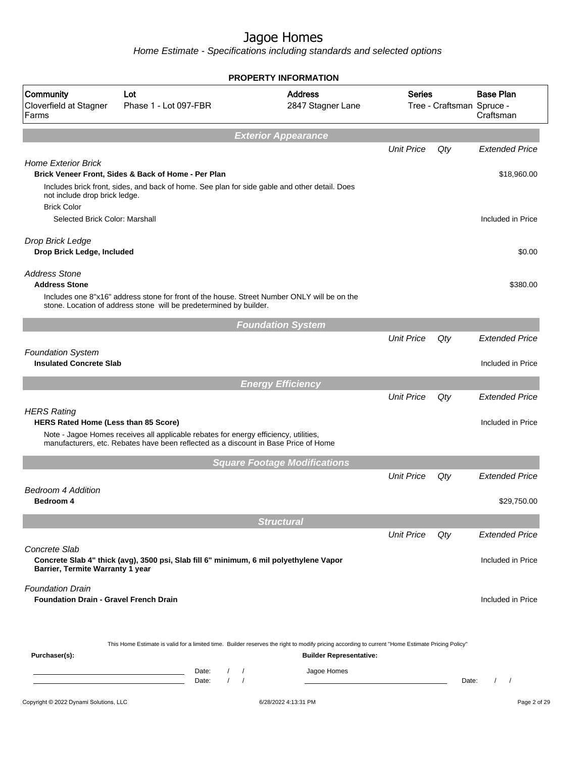|                                                                                   |                                                                                                                                                                   | <b>PROPERTY INFORMATION</b>         |                   |                           |                               |
|-----------------------------------------------------------------------------------|-------------------------------------------------------------------------------------------------------------------------------------------------------------------|-------------------------------------|-------------------|---------------------------|-------------------------------|
| Community<br>Cloverfield at Stagner<br>Farms                                      | Lot<br>Phase 1 - Lot 097-FBR                                                                                                                                      | <b>Address</b><br>2847 Stagner Lane | <b>Series</b>     | Tree - Craftsman Spruce - | <b>Base Plan</b><br>Craftsman |
|                                                                                   |                                                                                                                                                                   | <b>Exterior Appearance</b>          |                   |                           |                               |
|                                                                                   |                                                                                                                                                                   |                                     | <b>Unit Price</b> | Qty                       | <b>Extended Price</b>         |
| <b>Home Exterior Brick</b><br>not include drop brick ledge.<br><b>Brick Color</b> | Brick Veneer Front, Sides & Back of Home - Per Plan<br>Includes brick front, sides, and back of home. See plan for side gable and other detail. Does              |                                     |                   |                           | \$18,960.00                   |
| Selected Brick Color: Marshall                                                    |                                                                                                                                                                   |                                     |                   |                           | Included in Price             |
| Drop Brick Ledge<br>Drop Brick Ledge, Included                                    |                                                                                                                                                                   |                                     |                   |                           | \$0.00                        |
| <b>Address Stone</b><br><b>Address Stone</b>                                      |                                                                                                                                                                   |                                     |                   |                           | \$380.00                      |
|                                                                                   | Includes one 8"x16" address stone for front of the house. Street Number ONLY will be on the<br>stone. Location of address stone will be predetermined by builder. |                                     |                   |                           |                               |
|                                                                                   |                                                                                                                                                                   | <b>Foundation System</b>            |                   |                           |                               |
|                                                                                   |                                                                                                                                                                   |                                     | <b>Unit Price</b> | Qty                       | <b>Extended Price</b>         |
| <b>Foundation System</b><br><b>Insulated Concrete Slab</b>                        |                                                                                                                                                                   |                                     |                   |                           | Included in Price             |
|                                                                                   |                                                                                                                                                                   | <b>Energy Efficiency</b>            |                   |                           |                               |
|                                                                                   |                                                                                                                                                                   |                                     | <b>Unit Price</b> | Qty                       | <b>Extended Price</b>         |
| <b>HERS Rating</b><br>HERS Rated Home (Less than 85 Score)                        | Note - Jagoe Homes receives all applicable rebates for energy efficiency, utilities,                                                                              |                                     |                   |                           | Included in Price             |
|                                                                                   | manufacturers, etc. Rebates have been reflected as a discount in Base Price of Home                                                                               |                                     |                   |                           |                               |
|                                                                                   |                                                                                                                                                                   | <b>Square Footage Modifications</b> |                   |                           |                               |
|                                                                                   |                                                                                                                                                                   |                                     | <b>Unit Price</b> | Qty                       | <b>Extended Price</b>         |
| <b>Bedroom 4 Addition</b><br>Bedroom 4                                            |                                                                                                                                                                   |                                     |                   |                           | \$29,750.00                   |
|                                                                                   |                                                                                                                                                                   | <b>Structural</b>                   |                   |                           |                               |
|                                                                                   |                                                                                                                                                                   |                                     | <b>Unit Price</b> | Qty                       | <b>Extended Price</b>         |
| Concrete Slab<br>Barrier, Termite Warranty 1 year                                 | Concrete Slab 4" thick (avg), 3500 psi, Slab fill 6" minimum, 6 mil polyethylene Vapor                                                                            |                                     |                   |                           | Included in Price             |
| <b>Foundation Drain</b><br><b>Foundation Drain - Gravel French Drain</b>          |                                                                                                                                                                   |                                     |                   |                           | Included in Price             |
| Purchaser(s):                                                                     | This Home Estimate is valid for a limited time. Builder reserves the right to modify pricing according to current "Home Estimate Pricing Policy"                  | <b>Builder Representative:</b>      |                   |                           |                               |
|                                                                                   | Date:<br>$\left  \right $<br>$\sqrt{2}$<br>$\sqrt{ }$<br>Date:                                                                                                    | Jagoe Homes                         |                   | Date:                     | $\sqrt{2}$<br>$\sqrt{2}$      |
| Copyright © 2022 Dynami Solutions, LLC                                            |                                                                                                                                                                   | 6/28/2022 4:13:31 PM                |                   |                           | Page 2 of 29                  |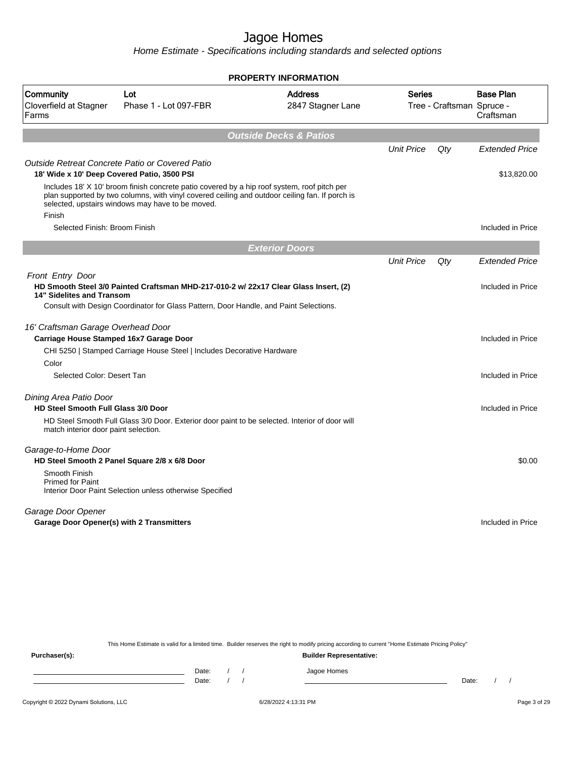Home Estimate - Specifications including standards and selected options

|                                                                               |                                                                                                                                                                                                                                                   | <b>PROPERTY INFORMATION</b>         |                                            |     |                               |
|-------------------------------------------------------------------------------|---------------------------------------------------------------------------------------------------------------------------------------------------------------------------------------------------------------------------------------------------|-------------------------------------|--------------------------------------------|-----|-------------------------------|
| Community<br>Cloverfield at Stagner<br>Farms                                  | Lot<br>Phase 1 - Lot 097-FBR                                                                                                                                                                                                                      | <b>Address</b><br>2847 Stagner Lane | <b>Series</b><br>Tree - Craftsman Spruce - |     | <b>Base Plan</b><br>Craftsman |
|                                                                               |                                                                                                                                                                                                                                                   | <b>Outside Decks &amp; Patios</b>   |                                            |     |                               |
|                                                                               |                                                                                                                                                                                                                                                   |                                     | <b>Unit Price</b>                          | Qty | <b>Extended Price</b>         |
|                                                                               | Outside Retreat Concrete Patio or Covered Patio                                                                                                                                                                                                   |                                     |                                            |     |                               |
| 18' Wide x 10' Deep Covered Patio, 3500 PSI                                   |                                                                                                                                                                                                                                                   |                                     |                                            |     | \$13,820.00                   |
| Finish                                                                        | Includes 18' X 10' broom finish concrete patio covered by a hip roof system, roof pitch per<br>plan supported by two columns, with vinyl covered ceiling and outdoor ceiling fan. If porch is<br>selected, upstairs windows may have to be moved. |                                     |                                            |     |                               |
| Selected Finish: Broom Finish                                                 |                                                                                                                                                                                                                                                   |                                     |                                            |     | Included in Price             |
|                                                                               |                                                                                                                                                                                                                                                   |                                     |                                            |     |                               |
|                                                                               |                                                                                                                                                                                                                                                   | <b>Exterior Doors</b>               |                                            |     |                               |
|                                                                               |                                                                                                                                                                                                                                                   |                                     | <b>Unit Price</b>                          | Qty | <b>Extended Price</b>         |
| Front Entry Door<br>14" Sidelites and Transom                                 | HD Smooth Steel 3/0 Painted Craftsman MHD-217-010-2 w/ 22x17 Clear Glass Insert, (2)<br>Consult with Design Coordinator for Glass Pattern, Door Handle, and Paint Selections.                                                                     |                                     |                                            |     | Included in Price             |
| 16' Craftsman Garage Overhead Door<br>Carriage House Stamped 16x7 Garage Door |                                                                                                                                                                                                                                                   |                                     |                                            |     | Included in Price             |
|                                                                               | CHI 5250   Stamped Carriage House Steel   Includes Decorative Hardware                                                                                                                                                                            |                                     |                                            |     |                               |
| Color                                                                         |                                                                                                                                                                                                                                                   |                                     |                                            |     |                               |
| Selected Color: Desert Tan                                                    |                                                                                                                                                                                                                                                   |                                     |                                            |     | Included in Price             |
| Dining Area Patio Door                                                        |                                                                                                                                                                                                                                                   |                                     |                                            |     |                               |
| <b>HD Steel Smooth Full Glass 3/0 Door</b>                                    |                                                                                                                                                                                                                                                   |                                     |                                            |     | Included in Price             |
| match interior door paint selection.                                          | HD Steel Smooth Full Glass 3/0 Door. Exterior door paint to be selected. Interior of door will                                                                                                                                                    |                                     |                                            |     |                               |
| Garage-to-Home Door                                                           | HD Steel Smooth 2 Panel Square 2/8 x 6/8 Door                                                                                                                                                                                                     |                                     |                                            |     | \$0.00                        |
| Smooth Finish<br><b>Primed for Paint</b>                                      | Interior Door Paint Selection unless otherwise Specified                                                                                                                                                                                          |                                     |                                            |     |                               |
| Garage Door Opener                                                            |                                                                                                                                                                                                                                                   |                                     |                                            |     |                               |
| Garage Door Opener(s) with 2 Transmitters                                     |                                                                                                                                                                                                                                                   |                                     |                                            |     | Included in Price             |

This Home Estimate is valid for a limited time. Builder reserves the right to modify pricing according to current "Home Estimate Pricing Policy" **Purchaser(s): Builder Representative:**

Date: / / Jagoe Homes<br>Date: / / Jagoe Homes Date: / / **Date: / / 2006** Date: / / / Date: / / /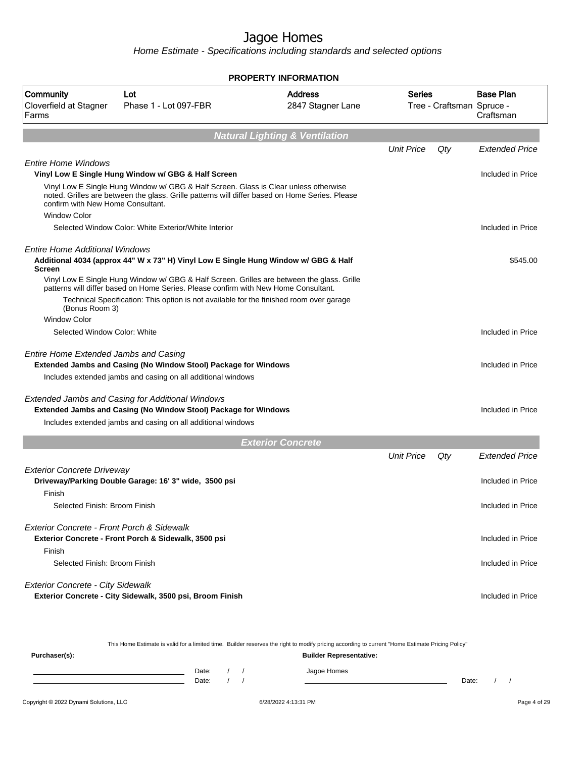Home Estimate - Specifications including standards and selected options

|                                              |                                                                                                                                                                                        | <b>PROPERTY INFORMATION</b>               |                   |                           |                               |
|----------------------------------------------|----------------------------------------------------------------------------------------------------------------------------------------------------------------------------------------|-------------------------------------------|-------------------|---------------------------|-------------------------------|
| Community<br>Cloverfield at Stagner<br>Farms | Lot<br>Phase 1 - Lot 097-FBR                                                                                                                                                           | <b>Address</b><br>2847 Stagner Lane       | <b>Series</b>     | Tree - Craftsman Spruce - | <b>Base Plan</b><br>Craftsman |
|                                              |                                                                                                                                                                                        | <b>Natural Lighting &amp; Ventilation</b> |                   |                           |                               |
|                                              |                                                                                                                                                                                        |                                           | <b>Unit Price</b> | Qty                       | <b>Extended Price</b>         |
| <b>Entire Home Windows</b>                   |                                                                                                                                                                                        |                                           |                   |                           |                               |
|                                              | Vinyl Low E Single Hung Window w/ GBG & Half Screen                                                                                                                                    |                                           |                   |                           | Included in Price             |
| confirm with New Home Consultant.            | Vinyl Low E Single Hung Window w/ GBG & Half Screen. Glass is Clear unless otherwise<br>noted. Grilles are between the glass. Grille patterns will differ based on Home Series. Please |                                           |                   |                           |                               |
| <b>Window Color</b>                          |                                                                                                                                                                                        |                                           |                   |                           |                               |
|                                              | Selected Window Color: White Exterior/White Interior                                                                                                                                   |                                           |                   |                           | Included in Price             |
| Entire Home Additional Windows               |                                                                                                                                                                                        |                                           |                   |                           |                               |
| <b>Screen</b>                                | Additional 4034 (approx 44" W x 73" H) Vinyl Low E Single Hung Window w/ GBG & Half                                                                                                    |                                           |                   |                           | \$545.00                      |
|                                              | Vinyl Low E Single Hung Window w/ GBG & Half Screen. Grilles are between the glass. Grille<br>patterns will differ based on Home Series. Please confirm with New Home Consultant.      |                                           |                   |                           |                               |
| (Bonus Room 3)                               | Technical Specification: This option is not available for the finished room over garage                                                                                                |                                           |                   |                           |                               |
| <b>Window Color</b>                          |                                                                                                                                                                                        |                                           |                   |                           |                               |
| Selected Window Color: White                 |                                                                                                                                                                                        |                                           |                   |                           | Included in Price             |
| Entire Home Extended Jambs and Casing        | Extended Jambs and Casing (No Window Stool) Package for Windows                                                                                                                        |                                           |                   |                           | Included in Price             |
|                                              | Includes extended jambs and casing on all additional windows                                                                                                                           |                                           |                   |                           |                               |
|                                              | Extended Jambs and Casing for Additional Windows                                                                                                                                       |                                           |                   |                           |                               |
|                                              | Extended Jambs and Casing (No Window Stool) Package for Windows                                                                                                                        |                                           |                   |                           | Included in Price             |
|                                              | Includes extended jambs and casing on all additional windows                                                                                                                           |                                           |                   |                           |                               |
|                                              |                                                                                                                                                                                        | <b>Exterior Concrete</b>                  |                   |                           |                               |
|                                              |                                                                                                                                                                                        |                                           | <b>Unit Price</b> | Qty                       | <b>Extended Price</b>         |
| <b>Exterior Concrete Driveway</b>            |                                                                                                                                                                                        |                                           |                   |                           |                               |
| Finish                                       | Driveway/Parking Double Garage: 16' 3" wide, 3500 psi                                                                                                                                  |                                           |                   |                           | Included in Price             |
| Selected Finish: Broom Finish                |                                                                                                                                                                                        |                                           |                   |                           | Included in Price             |
| Exterior Concrete - Front Porch & Sidewalk   | Exterior Concrete - Front Porch & Sidewalk, 3500 psi                                                                                                                                   |                                           |                   |                           | Included in Price             |
| Finish                                       |                                                                                                                                                                                        |                                           |                   |                           |                               |
| Selected Finish: Broom Finish                |                                                                                                                                                                                        |                                           |                   |                           | Included in Price             |
| <b>Exterior Concrete - City Sidewalk</b>     | Exterior Concrete - City Sidewalk, 3500 psi, Broom Finish                                                                                                                              |                                           |                   |                           | Included in Price             |
|                                              |                                                                                                                                                                                        |                                           |                   |                           |                               |

This Home Estimate is valid for a limited time. Builder reserves the right to modify pricing according to current "Home Estimate Pricing Policy"

**Purchaser(s): Builder Representative:** Date: / / Jagoe Homes<br>Date: / / Jagoe Homes Date: / / **Date: / / 2006** Date: / / / Date: / / /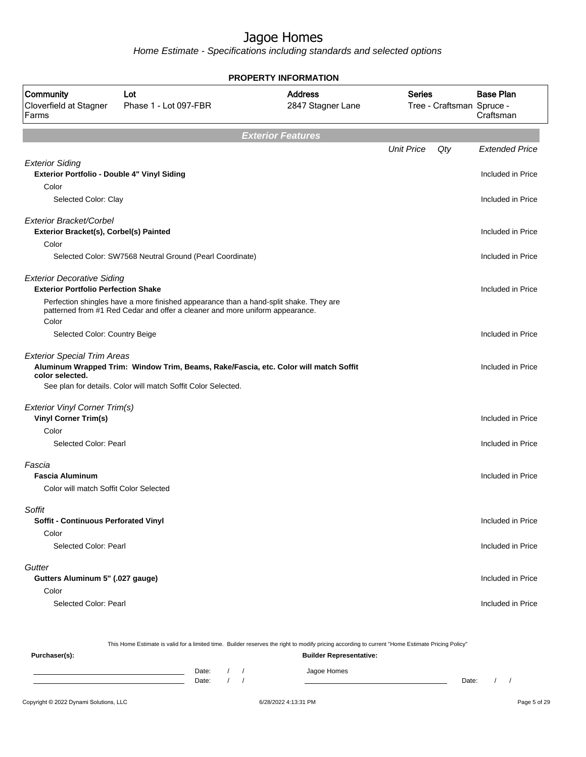Home Estimate - Specifications including standards and selected options

| <b>PROPERTY INFORMATION</b>                                                     |                                                                                                                                                                       |                                     |                   |                           |                               |
|---------------------------------------------------------------------------------|-----------------------------------------------------------------------------------------------------------------------------------------------------------------------|-------------------------------------|-------------------|---------------------------|-------------------------------|
| Community<br>Cloverfield at Stagner<br>Farms                                    | Lot<br>Phase 1 - Lot 097-FBR                                                                                                                                          | <b>Address</b><br>2847 Stagner Lane | <b>Series</b>     | Tree - Craftsman Spruce - | <b>Base Plan</b><br>Craftsman |
|                                                                                 |                                                                                                                                                                       | <b>Exterior Features</b>            |                   |                           |                               |
|                                                                                 |                                                                                                                                                                       |                                     | <b>Unit Price</b> | Qty                       | <b>Extended Price</b>         |
| <b>Exterior Siding</b><br>Exterior Portfolio - Double 4" Vinyl Siding<br>Color  |                                                                                                                                                                       |                                     |                   |                           | Included in Price             |
| Selected Color: Clay                                                            |                                                                                                                                                                       |                                     |                   |                           | Included in Price             |
| Exterior Bracket/Corbel<br>Exterior Bracket(s), Corbel(s) Painted               |                                                                                                                                                                       |                                     |                   |                           | Included in Price             |
| Color                                                                           | Selected Color: SW7568 Neutral Ground (Pearl Coordinate)                                                                                                              |                                     |                   |                           | Included in Price             |
| <b>Exterior Decorative Siding</b><br><b>Exterior Portfolio Perfection Shake</b> |                                                                                                                                                                       |                                     |                   |                           | Included in Price             |
| Color                                                                           | Perfection shingles have a more finished appearance than a hand-split shake. They are<br>patterned from #1 Red Cedar and offer a cleaner and more uniform appearance. |                                     |                   |                           |                               |
| Selected Color: Country Beige                                                   |                                                                                                                                                                       |                                     |                   |                           | Included in Price             |
| <b>Exterior Special Trim Areas</b><br>color selected.                           | Aluminum Wrapped Trim: Window Trim, Beams, Rake/Fascia, etc. Color will match Soffit<br>See plan for details. Color will match Soffit Color Selected.                 |                                     |                   |                           | Included in Price             |
|                                                                                 |                                                                                                                                                                       |                                     |                   |                           |                               |
| <b>Exterior Vinyl Corner Trim(s)</b><br><b>Vinyl Corner Trim(s)</b>             |                                                                                                                                                                       |                                     |                   |                           | Included in Price             |
| Color<br>Selected Color: Pearl                                                  |                                                                                                                                                                       |                                     |                   |                           | Included in Price             |
| Fascia<br><b>Fascia Aluminum</b>                                                |                                                                                                                                                                       |                                     |                   |                           | Included in Price             |
| Color will match Soffit Color Selected                                          |                                                                                                                                                                       |                                     |                   |                           |                               |
| Soffit<br><b>Soffit - Continuous Perforated Vinyl</b>                           |                                                                                                                                                                       |                                     |                   |                           | Included in Price             |
| Color                                                                           |                                                                                                                                                                       |                                     |                   |                           |                               |
| Selected Color: Pearl                                                           |                                                                                                                                                                       |                                     |                   |                           | Included in Price             |
| Gutter<br>Gutters Aluminum 5" (.027 gauge)                                      |                                                                                                                                                                       |                                     |                   |                           | Included in Price             |
| Color<br>Selected Color: Pearl                                                  |                                                                                                                                                                       |                                     |                   |                           | Included in Price             |
|                                                                                 |                                                                                                                                                                       |                                     |                   |                           |                               |

This Home Estimate is valid for a limited time. Builder reserves the right to modify pricing according to current "Home Estimate Pricing Policy" **Purchaser(s): Builder Representative:** Date: / / Jagoe Homes<br>Date: / / Jagoe Homes Date: / / **Date: / / 2006** Date: / / / Date: / / /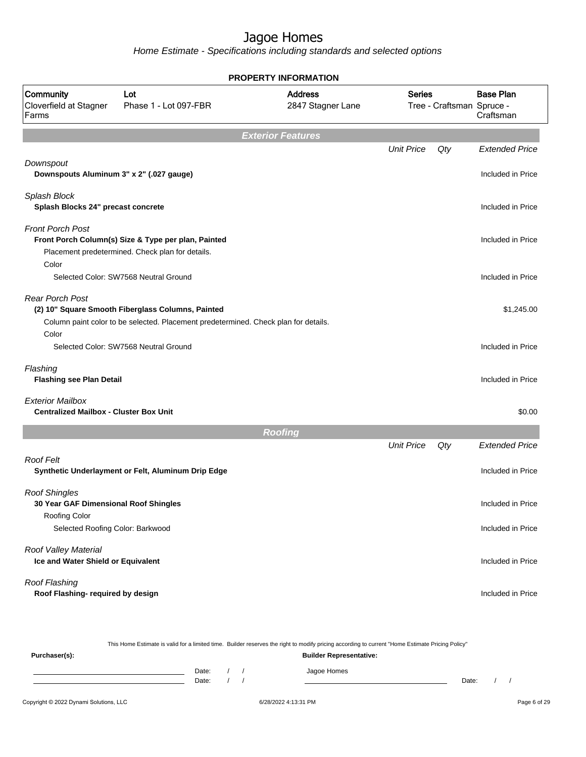Home Estimate - Specifications including standards and selected options

|                                                                                |                                                                                                                                          | <b>PROPERTY INFORMATION</b>         |                   |                           |                               |
|--------------------------------------------------------------------------------|------------------------------------------------------------------------------------------------------------------------------------------|-------------------------------------|-------------------|---------------------------|-------------------------------|
| Community<br>Cloverfield at Stagner<br>Farms                                   | Lot<br>Phase 1 - Lot 097-FBR                                                                                                             | <b>Address</b><br>2847 Stagner Lane | <b>Series</b>     | Tree - Craftsman Spruce - | <b>Base Plan</b><br>Craftsman |
|                                                                                |                                                                                                                                          | <b>Exterior Features</b>            |                   |                           |                               |
|                                                                                |                                                                                                                                          |                                     | <b>Unit Price</b> | Qty                       | <b>Extended Price</b>         |
| Downspout<br>Downspouts Aluminum 3" x 2" (.027 gauge)                          |                                                                                                                                          |                                     |                   |                           | Included in Price             |
| Splash Block<br>Splash Blocks 24" precast concrete                             |                                                                                                                                          |                                     |                   |                           | Included in Price             |
| <b>Front Porch Post</b><br>Color                                               | Front Porch Column(s) Size & Type per plan, Painted<br>Placement predetermined. Check plan for details.                                  |                                     |                   |                           | Included in Price             |
|                                                                                | Selected Color: SW7568 Neutral Ground                                                                                                    |                                     |                   |                           | Included in Price             |
| <b>Rear Porch Post</b>                                                         | (2) 10" Square Smooth Fiberglass Columns, Painted<br>Column paint color to be selected. Placement predetermined. Check plan for details. |                                     |                   |                           | \$1,245.00                    |
| Color                                                                          | Selected Color: SW7568 Neutral Ground                                                                                                    |                                     |                   |                           | Included in Price             |
| Flashing<br><b>Flashing see Plan Detail</b>                                    |                                                                                                                                          |                                     |                   |                           | Included in Price             |
| <b>Exterior Mailbox</b><br><b>Centralized Mailbox - Cluster Box Unit</b>       |                                                                                                                                          |                                     |                   |                           | \$0.00                        |
|                                                                                |                                                                                                                                          | <b>Roofing</b>                      |                   |                           |                               |
|                                                                                |                                                                                                                                          |                                     | <b>Unit Price</b> | Qty                       | <b>Extended Price</b>         |
| <b>Roof Felt</b>                                                               | Synthetic Underlayment or Felt, Aluminum Drip Edge                                                                                       |                                     |                   |                           | Included in Price             |
| <b>Roof Shingles</b><br>30 Year GAF Dimensional Roof Shingles<br>Roofing Color |                                                                                                                                          |                                     |                   |                           | Included in Price             |
| Selected Roofing Color: Barkwood                                               |                                                                                                                                          |                                     |                   |                           | Included in Price             |
| Roof Valley Material<br>Ice and Water Shield or Equivalent                     |                                                                                                                                          |                                     |                   |                           | Included in Price             |
| Roof Flashing<br>Roof Flashing- required by design                             |                                                                                                                                          |                                     |                   |                           | Included in Price             |
|                                                                                |                                                                                                                                          |                                     |                   |                           |                               |

This Home Estimate is valid for a limited time. Builder reserves the right to modify pricing according to current "Home Estimate Pricing Policy"

**Purchaser(s): Builder Representative:** Date: / / Jagoe Homes<br>Date: / / Jagoe Homes Date: / / **Date: / / 2006** Date: / / / Date: / / /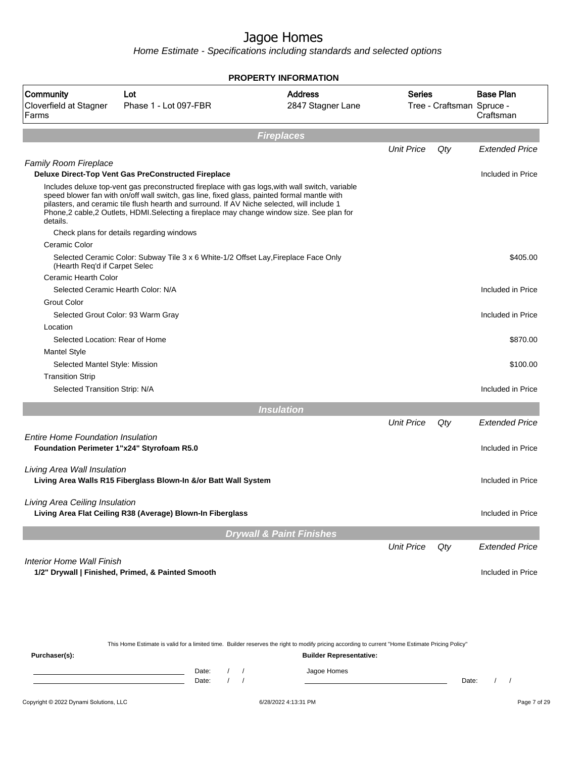|                                                                                                                                                                                                                                                                                                                                                                                                       |                                                                                     | PROPERTY INFORMATION                |                   |                           |                               |
|-------------------------------------------------------------------------------------------------------------------------------------------------------------------------------------------------------------------------------------------------------------------------------------------------------------------------------------------------------------------------------------------------------|-------------------------------------------------------------------------------------|-------------------------------------|-------------------|---------------------------|-------------------------------|
| Community<br>Cloverfield at Stagner<br>Farms                                                                                                                                                                                                                                                                                                                                                          | Lot<br>Phase 1 - Lot 097-FBR                                                        | <b>Address</b><br>2847 Stagner Lane | Series            | Tree - Craftsman Spruce - | <b>Base Plan</b><br>Craftsman |
|                                                                                                                                                                                                                                                                                                                                                                                                       |                                                                                     | <b>Fireplaces</b>                   |                   |                           |                               |
|                                                                                                                                                                                                                                                                                                                                                                                                       |                                                                                     |                                     | <b>Unit Price</b> | Qty                       | <b>Extended Price</b>         |
| <b>Family Room Fireplace</b>                                                                                                                                                                                                                                                                                                                                                                          |                                                                                     |                                     |                   |                           |                               |
|                                                                                                                                                                                                                                                                                                                                                                                                       | <b>Deluxe Direct-Top Vent Gas PreConstructed Fireplace</b>                          |                                     |                   |                           | Included in Price             |
| Includes deluxe top-vent gas preconstructed fireplace with gas logs, with wall switch, variable<br>speed blower fan with on/off wall switch, gas line, fixed glass, painted formal mantle with<br>pilasters, and ceramic tile flush hearth and surround. If AV Niche selected, will include 1<br>Phone,2 cable,2 Outlets, HDMI.Selecting a fireplace may change window size. See plan for<br>details. |                                                                                     |                                     |                   |                           |                               |
|                                                                                                                                                                                                                                                                                                                                                                                                       | Check plans for details regarding windows                                           |                                     |                   |                           |                               |
| Ceramic Color                                                                                                                                                                                                                                                                                                                                                                                         |                                                                                     |                                     |                   |                           |                               |
| (Hearth Reg'd if Carpet Selec                                                                                                                                                                                                                                                                                                                                                                         | Selected Ceramic Color: Subway Tile 3 x 6 White-1/2 Offset Lay, Fireplace Face Only |                                     |                   |                           | \$405.00                      |
| Ceramic Hearth Color                                                                                                                                                                                                                                                                                                                                                                                  |                                                                                     |                                     |                   |                           |                               |
|                                                                                                                                                                                                                                                                                                                                                                                                       | Selected Ceramic Hearth Color: N/A                                                  |                                     |                   |                           | Included in Price             |
| <b>Grout Color</b>                                                                                                                                                                                                                                                                                                                                                                                    |                                                                                     |                                     |                   |                           |                               |
|                                                                                                                                                                                                                                                                                                                                                                                                       | Selected Grout Color: 93 Warm Gray                                                  |                                     |                   |                           | Included in Price             |
| Location                                                                                                                                                                                                                                                                                                                                                                                              |                                                                                     |                                     |                   |                           |                               |
| Selected Location: Rear of Home                                                                                                                                                                                                                                                                                                                                                                       |                                                                                     |                                     |                   |                           | \$870.00                      |
| <b>Mantel Style</b>                                                                                                                                                                                                                                                                                                                                                                                   |                                                                                     |                                     |                   |                           |                               |
| Selected Mantel Style: Mission                                                                                                                                                                                                                                                                                                                                                                        |                                                                                     |                                     |                   |                           | \$100.00                      |
| <b>Transition Strip</b>                                                                                                                                                                                                                                                                                                                                                                               |                                                                                     |                                     |                   |                           |                               |
| Selected Transition Strip: N/A                                                                                                                                                                                                                                                                                                                                                                        |                                                                                     |                                     |                   |                           | Included in Price             |
|                                                                                                                                                                                                                                                                                                                                                                                                       |                                                                                     | <b>Insulation</b>                   |                   |                           |                               |
|                                                                                                                                                                                                                                                                                                                                                                                                       |                                                                                     |                                     | <b>Unit Price</b> | Qty                       | <b>Extended Price</b>         |
| <b>Entire Home Foundation Insulation</b>                                                                                                                                                                                                                                                                                                                                                              |                                                                                     |                                     |                   |                           |                               |
|                                                                                                                                                                                                                                                                                                                                                                                                       | Foundation Perimeter 1"x24" Styrofoam R5.0                                          |                                     |                   |                           | Included in Price             |
|                                                                                                                                                                                                                                                                                                                                                                                                       |                                                                                     |                                     |                   |                           |                               |
| Living Area Wall Insulation                                                                                                                                                                                                                                                                                                                                                                           | Living Area Walls R15 Fiberglass Blown-In &/or Batt Wall System                     |                                     |                   |                           | Included in Price             |
| Living Area Ceiling Insulation                                                                                                                                                                                                                                                                                                                                                                        | Living Area Flat Ceiling R38 (Average) Blown-In Fiberglass                          |                                     |                   |                           | Included in Price             |
|                                                                                                                                                                                                                                                                                                                                                                                                       |                                                                                     |                                     |                   |                           |                               |
|                                                                                                                                                                                                                                                                                                                                                                                                       |                                                                                     | <b>Drywall &amp; Paint Finishes</b> |                   |                           |                               |
|                                                                                                                                                                                                                                                                                                                                                                                                       |                                                                                     |                                     | <b>Unit Price</b> | Qty                       | <b>Extended Price</b>         |
| <b>Interior Home Wall Finish</b>                                                                                                                                                                                                                                                                                                                                                                      | 1/2" Drywall   Finished, Primed, & Painted Smooth                                   |                                     |                   |                           | Included in Price             |
|                                                                                                                                                                                                                                                                                                                                                                                                       |                                                                                     |                                     |                   |                           |                               |
|                                                                                                                                                                                                                                                                                                                                                                                                       |                                                                                     |                                     |                   |                           |                               |
|                                                                                                                                                                                                                                                                                                                                                                                                       |                                                                                     |                                     |                   |                           |                               |

|               |       |  | This Home Estimate is valid for a limited time. Builder reserves the right to modify pricing according to current "Home Estimate Pricing Policy" |       |  |
|---------------|-------|--|--------------------------------------------------------------------------------------------------------------------------------------------------|-------|--|
| Purchaser(s): |       |  | <b>Builder Representative:</b>                                                                                                                   |       |  |
|               | Date: |  | Jagoe Homes                                                                                                                                      |       |  |
|               | Date: |  |                                                                                                                                                  | Date: |  |
|               |       |  |                                                                                                                                                  |       |  |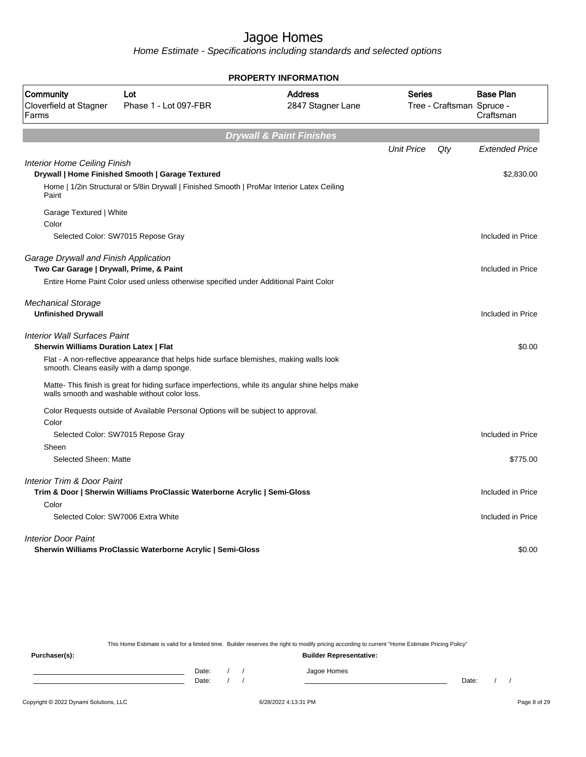Home Estimate - Specifications including standards and selected options

|                                                                                      |                                                                                                                                                   | <b>PROPERTY INFORMATION</b>         |                   |                           |                               |
|--------------------------------------------------------------------------------------|---------------------------------------------------------------------------------------------------------------------------------------------------|-------------------------------------|-------------------|---------------------------|-------------------------------|
| Community<br>Cloverfield at Stagner<br>Farms                                         | Lot<br>Phase 1 - Lot 097-FBR                                                                                                                      | <b>Address</b><br>2847 Stagner Lane | <b>Series</b>     | Tree - Craftsman Spruce - | <b>Base Plan</b><br>Craftsman |
|                                                                                      |                                                                                                                                                   | <b>Drywall &amp; Paint Finishes</b> |                   |                           |                               |
|                                                                                      |                                                                                                                                                   |                                     | <b>Unit Price</b> | Qtv                       | <b>Extended Price</b>         |
| <b>Interior Home Ceiling Finish</b>                                                  | Drywall   Home Finished Smooth   Garage Textured                                                                                                  |                                     |                   |                           | \$2,830.00                    |
| Paint                                                                                | Home   1/2in Structural or 5/8in Drywall   Finished Smooth   ProMar Interior Latex Ceiling                                                        |                                     |                   |                           |                               |
| Garage Textured   White<br>Color                                                     |                                                                                                                                                   |                                     |                   |                           |                               |
|                                                                                      | Selected Color: SW7015 Repose Gray                                                                                                                |                                     |                   |                           | Included in Price             |
| Garage Drywall and Finish Application<br>Two Car Garage   Drywall, Prime, & Paint    | Entire Home Paint Color used unless otherwise specified under Additional Paint Color                                                              |                                     |                   |                           | Included in Price             |
| <b>Mechanical Storage</b><br><b>Unfinished Drywall</b>                               |                                                                                                                                                   |                                     |                   |                           | Included in Price             |
| <b>Interior Wall Surfaces Paint</b><br><b>Sherwin Williams Duration Latex   Flat</b> |                                                                                                                                                   |                                     |                   |                           | \$0.00                        |
| smooth. Cleans easily with a damp sponge.                                            | Flat - A non-reflective appearance that helps hide surface blemishes, making walls look                                                           |                                     |                   |                           |                               |
|                                                                                      | Matte- This finish is great for hiding surface imperfections, while its angular shine helps make<br>walls smooth and washable without color loss. |                                     |                   |                           |                               |
| Color                                                                                | Color Requests outside of Available Personal Options will be subject to approval.                                                                 |                                     |                   |                           |                               |
|                                                                                      | Selected Color: SW7015 Repose Gray                                                                                                                |                                     |                   |                           | Included in Price             |
| Sheen                                                                                |                                                                                                                                                   |                                     |                   |                           |                               |
| Selected Sheen: Matte                                                                |                                                                                                                                                   |                                     |                   |                           | \$775.00                      |
| <b>Interior Trim &amp; Door Paint</b>                                                |                                                                                                                                                   |                                     |                   |                           |                               |
| Color                                                                                | Trim & Door   Sherwin Williams ProClassic Waterborne Acrylic   Semi-Gloss                                                                         |                                     |                   |                           | Included in Price             |
| Selected Color: SW7006 Extra White                                                   |                                                                                                                                                   |                                     |                   |                           | Included in Price             |
| <b>Interior Door Paint</b>                                                           |                                                                                                                                                   |                                     |                   |                           |                               |
|                                                                                      | Sherwin Williams ProClassic Waterborne Acrylic   Semi-Gloss                                                                                       |                                     |                   |                           | \$0.00                        |

This Home Estimate is valid for a limited time. Builder reserves the right to modify pricing according to current "Home Estimate Pricing Policy"

**Purchaser(s): Builder Representative:** Date: / / Jagoe Homes<br>Date: / / Jagoe Homes Date: / / **Date: / / 2006** Date: / / / Date: / / /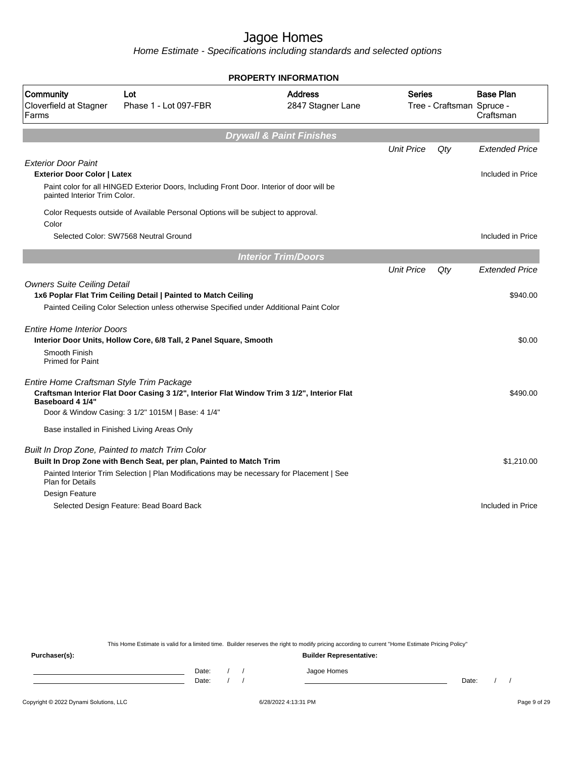Home Estimate - Specifications including standards and selected options

|                                                                  |                                                                                                                                                                                                                     | <b>PROPERTY INFORMATION</b>         |                   |                           |                               |
|------------------------------------------------------------------|---------------------------------------------------------------------------------------------------------------------------------------------------------------------------------------------------------------------|-------------------------------------|-------------------|---------------------------|-------------------------------|
| Community<br>Cloverfield at Stagner<br>Farms                     | Lot<br>Phase 1 - Lot 097-FBR                                                                                                                                                                                        | <b>Address</b><br>2847 Stagner Lane | Series            | Tree - Craftsman Spruce - | <b>Base Plan</b><br>Craftsman |
|                                                                  |                                                                                                                                                                                                                     | <b>Drywall &amp; Paint Finishes</b> |                   |                           |                               |
|                                                                  |                                                                                                                                                                                                                     |                                     | <b>Unit Price</b> | Qty                       | <b>Extended Price</b>         |
| <b>Exterior Door Paint</b><br><b>Exterior Door Color   Latex</b> |                                                                                                                                                                                                                     |                                     |                   |                           | Included in Price             |
| painted Interior Trim Color.                                     | Paint color for all HINGED Exterior Doors, Including Front Door. Interior of door will be                                                                                                                           |                                     |                   |                           |                               |
| Color                                                            | Color Requests outside of Available Personal Options will be subject to approval.                                                                                                                                   |                                     |                   |                           |                               |
|                                                                  | Selected Color: SW7568 Neutral Ground                                                                                                                                                                               |                                     |                   |                           | Included in Price             |
|                                                                  |                                                                                                                                                                                                                     | <b>Interior Trim/Doors</b>          |                   |                           |                               |
|                                                                  |                                                                                                                                                                                                                     |                                     | <b>Unit Price</b> | Qty                       | <b>Extended Price</b>         |
| <b>Owners Suite Ceiling Detail</b>                               | 1x6 Poplar Flat Trim Ceiling Detail   Painted to Match Ceiling<br>Painted Ceiling Color Selection unless otherwise Specified under Additional Paint Color                                                           |                                     |                   |                           | \$940.00                      |
| <b>Entire Home Interior Doors</b>                                | Interior Door Units, Hollow Core, 6/8 Tall, 2 Panel Square, Smooth                                                                                                                                                  |                                     |                   |                           | \$0.00                        |
| Smooth Finish<br><b>Primed for Paint</b>                         |                                                                                                                                                                                                                     |                                     |                   |                           |                               |
| Entire Home Craftsman Style Trim Package<br>Baseboard 4 1/4"     | Craftsman Interior Flat Door Casing 3 1/2", Interior Flat Window Trim 3 1/2", Interior Flat<br>Door & Window Casing: 3 1/2" 1015M   Base: 4 1/4"                                                                    |                                     |                   |                           | \$490.00                      |
|                                                                  | Base installed in Finished Living Areas Only                                                                                                                                                                        |                                     |                   |                           |                               |
| <b>Plan for Details</b>                                          | Built In Drop Zone, Painted to match Trim Color<br>Built In Drop Zone with Bench Seat, per plan, Painted to Match Trim<br>Painted Interior Trim Selection   Plan Modifications may be necessary for Placement   See |                                     |                   |                           | \$1,210.00                    |
| Design Feature                                                   |                                                                                                                                                                                                                     |                                     |                   |                           |                               |
|                                                                  | Selected Design Feature: Bead Board Back                                                                                                                                                                            |                                     |                   |                           | Included in Price             |

This Home Estimate is valid for a limited time. Builder reserves the right to modify pricing according to current "Home Estimate Pricing Policy"

**Purchaser(s): Builder Representative:** Date: / / Jagoe Homes<br>Date: / / Jagoe Homes Date: / / **Date: / / 2006** Date: / / / Date: / / /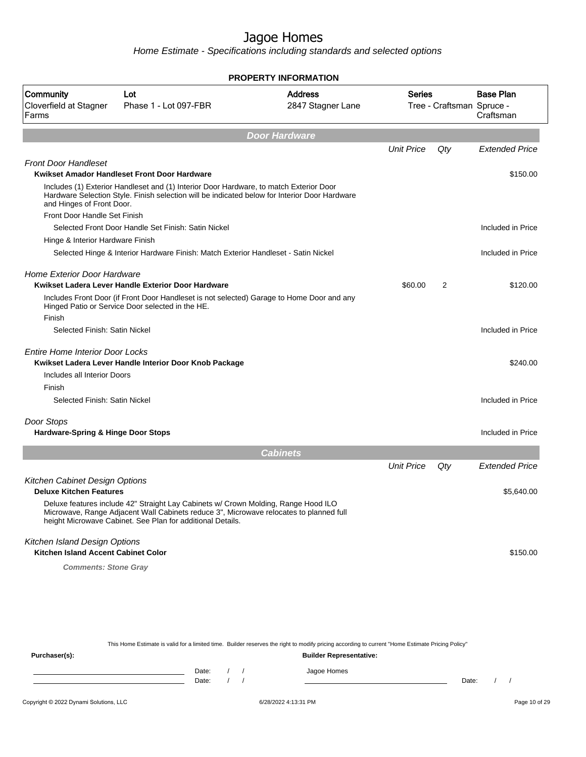Home Estimate - Specifications including standards and selected options

|                                                                  |                                                                                                                                                                                                                                            | <b>PROPERTY INFORMATION</b>         |                   |                           |                       |
|------------------------------------------------------------------|--------------------------------------------------------------------------------------------------------------------------------------------------------------------------------------------------------------------------------------------|-------------------------------------|-------------------|---------------------------|-----------------------|
| Community<br>Cloverfield at Stagner                              | Lot<br>Phase 1 - Lot 097-FBR                                                                                                                                                                                                               | <b>Address</b><br>2847 Stagner Lane | Series            | Tree - Craftsman Spruce - | <b>Base Plan</b>      |
| Farms                                                            |                                                                                                                                                                                                                                            |                                     |                   |                           | Craftsman             |
|                                                                  |                                                                                                                                                                                                                                            | <b>Door Hardware</b>                |                   |                           |                       |
|                                                                  |                                                                                                                                                                                                                                            |                                     | <b>Unit Price</b> | Qty                       | <b>Extended Price</b> |
| <b>Front Door Handleset</b>                                      |                                                                                                                                                                                                                                            |                                     |                   |                           |                       |
|                                                                  | Kwikset Amador Handleset Front Door Hardware                                                                                                                                                                                               |                                     |                   |                           | \$150.00              |
| and Hinges of Front Door.                                        | Includes (1) Exterior Handleset and (1) Interior Door Hardware, to match Exterior Door<br>Hardware Selection Style. Finish selection will be indicated below for Interior Door Hardware                                                    |                                     |                   |                           |                       |
| Front Door Handle Set Finish                                     |                                                                                                                                                                                                                                            |                                     |                   |                           |                       |
|                                                                  | Selected Front Door Handle Set Finish: Satin Nickel                                                                                                                                                                                        |                                     |                   |                           | Included in Price     |
| Hinge & Interior Hardware Finish                                 |                                                                                                                                                                                                                                            |                                     |                   |                           |                       |
|                                                                  | Selected Hinge & Interior Hardware Finish: Match Exterior Handleset - Satin Nickel                                                                                                                                                         |                                     |                   |                           | Included in Price     |
| <b>Home Exterior Door Hardware</b>                               | Kwikset Ladera Lever Handle Exterior Door Hardware                                                                                                                                                                                         |                                     | \$60.00           | 2                         | \$120.00              |
|                                                                  | Includes Front Door (if Front Door Handleset is not selected) Garage to Home Door and any<br>Hinged Patio or Service Door selected in the HE.                                                                                              |                                     |                   |                           |                       |
| Finish                                                           |                                                                                                                                                                                                                                            |                                     |                   |                           |                       |
| Selected Finish: Satin Nickel                                    |                                                                                                                                                                                                                                            |                                     |                   |                           | Included in Price     |
| <b>Entire Home Interior Door Locks</b>                           |                                                                                                                                                                                                                                            |                                     |                   |                           |                       |
|                                                                  | Kwikset Ladera Lever Handle Interior Door Knob Package                                                                                                                                                                                     |                                     |                   |                           | \$240.00              |
| Includes all Interior Doors                                      |                                                                                                                                                                                                                                            |                                     |                   |                           |                       |
| Finish                                                           |                                                                                                                                                                                                                                            |                                     |                   |                           |                       |
| Selected Finish: Satin Nickel                                    |                                                                                                                                                                                                                                            |                                     |                   |                           | Included in Price     |
| Door Stops                                                       |                                                                                                                                                                                                                                            |                                     |                   |                           |                       |
| <b>Hardware-Spring &amp; Hinge Door Stops</b>                    |                                                                                                                                                                                                                                            |                                     |                   |                           | Included in Price     |
|                                                                  |                                                                                                                                                                                                                                            | <b>Cabinets</b>                     |                   |                           |                       |
|                                                                  |                                                                                                                                                                                                                                            |                                     | <b>Unit Price</b> | Qty                       | <b>Extended Price</b> |
| Kitchen Cabinet Design Options<br><b>Deluxe Kitchen Features</b> |                                                                                                                                                                                                                                            |                                     |                   |                           | \$5,640.00            |
|                                                                  | Deluxe features include 42" Straight Lay Cabinets w/ Crown Molding, Range Hood ILO<br>Microwave, Range Adjacent Wall Cabinets reduce 3", Microwave relocates to planned full<br>height Microwave Cabinet. See Plan for additional Details. |                                     |                   |                           |                       |
| Kitchen Island Design Options                                    |                                                                                                                                                                                                                                            |                                     |                   |                           |                       |
| Kitchen Island Accent Cabinet Color                              |                                                                                                                                                                                                                                            |                                     |                   |                           | \$150.00              |
| <b>Comments: Stone Gray</b>                                      |                                                                                                                                                                                                                                            |                                     |                   |                           |                       |
|                                                                  |                                                                                                                                                                                                                                            |                                     |                   |                           |                       |
|                                                                  |                                                                                                                                                                                                                                            |                                     |                   |                           |                       |

This Home Estimate is valid for a limited time. Builder reserves the right to modify pricing according to current "Home Estimate Pricing Policy"

**Purchaser(s): Builder Representative:** Date: / / Jagoe Homes<br>Date: / / Jagoe Homes Date: / / Date: / /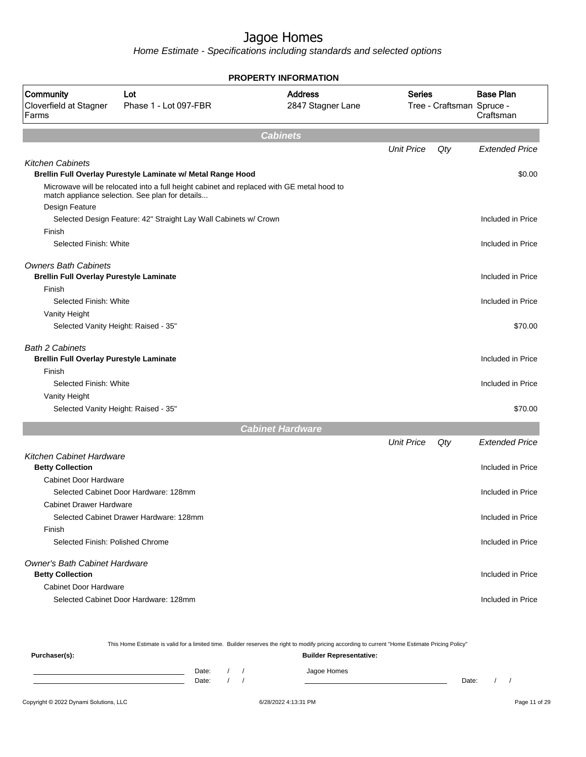Home Estimate - Specifications including standards and selected options

|                                                         |                                                                                                                                              | <b>PROPERTY INFORMATION</b>         |                   |                           |                               |
|---------------------------------------------------------|----------------------------------------------------------------------------------------------------------------------------------------------|-------------------------------------|-------------------|---------------------------|-------------------------------|
| Community<br>Cloverfield at Stagner<br>Farms            | Lot<br>Phase 1 - Lot 097-FBR                                                                                                                 | <b>Address</b><br>2847 Stagner Lane | <b>Series</b>     | Tree - Craftsman Spruce - | <b>Base Plan</b><br>Craftsman |
|                                                         |                                                                                                                                              | <b>Cabinets</b>                     |                   |                           |                               |
|                                                         |                                                                                                                                              |                                     | <b>Unit Price</b> | Qty                       | <b>Extended Price</b>         |
| <b>Kitchen Cabinets</b>                                 |                                                                                                                                              |                                     |                   |                           |                               |
|                                                         | Brellin Full Overlay Purestyle Laminate w/ Metal Range Hood                                                                                  |                                     |                   |                           | \$0.00                        |
|                                                         | Microwave will be relocated into a full height cabinet and replaced with GE metal hood to<br>match appliance selection. See plan for details |                                     |                   |                           |                               |
| Design Feature                                          |                                                                                                                                              |                                     |                   |                           | Included in Price             |
| Finish                                                  | Selected Design Feature: 42" Straight Lay Wall Cabinets w/ Crown                                                                             |                                     |                   |                           |                               |
| Selected Finish: White                                  |                                                                                                                                              |                                     |                   |                           | Included in Price             |
|                                                         |                                                                                                                                              |                                     |                   |                           |                               |
| <b>Owners Bath Cabinets</b>                             |                                                                                                                                              |                                     |                   |                           |                               |
| <b>Brellin Full Overlay Purestyle Laminate</b>          |                                                                                                                                              |                                     |                   |                           | Included in Price             |
| Finish                                                  |                                                                                                                                              |                                     |                   |                           |                               |
| Selected Finish: White                                  |                                                                                                                                              |                                     |                   |                           | Included in Price             |
| Vanity Height                                           |                                                                                                                                              |                                     |                   |                           |                               |
|                                                         | Selected Vanity Height: Raised - 35"                                                                                                         |                                     |                   |                           | \$70.00                       |
| <b>Bath 2 Cabinets</b>                                  |                                                                                                                                              |                                     |                   |                           |                               |
| <b>Brellin Full Overlay Purestyle Laminate</b>          |                                                                                                                                              |                                     |                   |                           | Included in Price             |
| Finish                                                  |                                                                                                                                              |                                     |                   |                           |                               |
| Selected Finish: White                                  |                                                                                                                                              |                                     |                   |                           | Included in Price             |
| Vanity Height                                           |                                                                                                                                              |                                     |                   |                           |                               |
| Selected Vanity Height: Raised - 35"                    |                                                                                                                                              |                                     |                   |                           | \$70.00                       |
|                                                         |                                                                                                                                              | <b>Cabinet Hardware</b>             |                   |                           |                               |
|                                                         |                                                                                                                                              |                                     | <b>Unit Price</b> | Qty                       | <b>Extended Price</b>         |
| <b>Kitchen Cabinet Hardware</b>                         |                                                                                                                                              |                                     |                   |                           |                               |
| <b>Betty Collection</b><br><b>Cabinet Door Hardware</b> |                                                                                                                                              |                                     |                   |                           | Included in Price             |
|                                                         | Selected Cabinet Door Hardware: 128mm                                                                                                        |                                     |                   |                           | Included in Price             |
| <b>Cabinet Drawer Hardware</b>                          |                                                                                                                                              |                                     |                   |                           |                               |
|                                                         | Selected Cabinet Drawer Hardware: 128mm                                                                                                      |                                     |                   |                           | Included in Price             |
| Finish                                                  |                                                                                                                                              |                                     |                   |                           |                               |
| Selected Finish: Polished Chrome                        |                                                                                                                                              |                                     |                   |                           | Included in Price             |
| <b>Owner's Bath Cabinet Hardware</b>                    |                                                                                                                                              |                                     |                   |                           |                               |
| <b>Betty Collection</b>                                 |                                                                                                                                              |                                     |                   |                           | Included in Price             |
| <b>Cabinet Door Hardware</b>                            |                                                                                                                                              |                                     |                   |                           |                               |
|                                                         | Selected Cabinet Door Hardware: 128mm                                                                                                        |                                     |                   |                           | Included in Price             |
|                                                         |                                                                                                                                              |                                     |                   |                           |                               |

This Home Estimate is valid for a limited time. Builder reserves the right to modify pricing according to current "Home Estimate Pricing Policy" **Purchaser(s): Builder Representative:** Date: / / Jagoe Homes<br>Date: / / Jagoe Homes Date: / / **Date: / / 2006** Date: / / / Date: / / /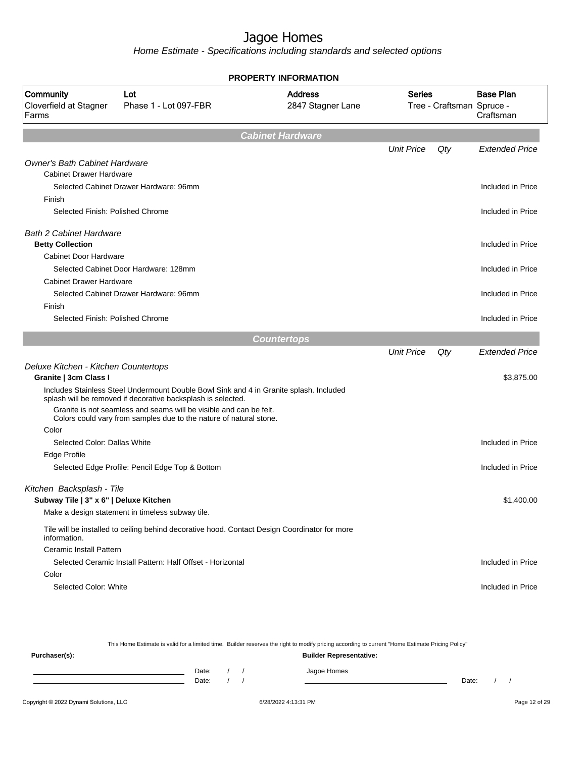|                                              |                                                                                                                                                        | PROPERTY INFORMATION                |                   |                           |                               |
|----------------------------------------------|--------------------------------------------------------------------------------------------------------------------------------------------------------|-------------------------------------|-------------------|---------------------------|-------------------------------|
| Community<br>Cloverfield at Stagner<br>Farms | Lot<br>Phase 1 - Lot 097-FBR                                                                                                                           | <b>Address</b><br>2847 Stagner Lane | <b>Series</b>     | Tree - Craftsman Spruce - | <b>Base Plan</b><br>Craftsman |
|                                              |                                                                                                                                                        | <b>Cabinet Hardware</b>             |                   |                           |                               |
|                                              |                                                                                                                                                        |                                     | <b>Unit Price</b> | Qty                       | <b>Extended Price</b>         |
| <b>Owner's Bath Cabinet Hardware</b>         |                                                                                                                                                        |                                     |                   |                           |                               |
| <b>Cabinet Drawer Hardware</b>               |                                                                                                                                                        |                                     |                   |                           |                               |
|                                              | Selected Cabinet Drawer Hardware: 96mm                                                                                                                 |                                     |                   |                           | Included in Price             |
| Finish                                       |                                                                                                                                                        |                                     |                   |                           |                               |
| Selected Finish: Polished Chrome             |                                                                                                                                                        |                                     |                   |                           | Included in Price             |
| <b>Bath 2 Cabinet Hardware</b>               |                                                                                                                                                        |                                     |                   |                           |                               |
| <b>Betty Collection</b>                      |                                                                                                                                                        |                                     |                   |                           | Included in Price             |
| <b>Cabinet Door Hardware</b>                 |                                                                                                                                                        |                                     |                   |                           |                               |
|                                              | Selected Cabinet Door Hardware: 128mm                                                                                                                  |                                     |                   |                           | Included in Price             |
| <b>Cabinet Drawer Hardware</b>               |                                                                                                                                                        |                                     |                   |                           |                               |
|                                              | Selected Cabinet Drawer Hardware: 96mm                                                                                                                 |                                     |                   |                           | Included in Price             |
| Finish                                       |                                                                                                                                                        |                                     |                   |                           |                               |
| Selected Finish: Polished Chrome             |                                                                                                                                                        |                                     |                   |                           | Included in Price             |
|                                              |                                                                                                                                                        | <b>Countertops</b>                  |                   |                           |                               |
|                                              |                                                                                                                                                        |                                     | <b>Unit Price</b> | Qty                       | <b>Extended Price</b>         |
| Deluxe Kitchen - Kitchen Countertops         |                                                                                                                                                        |                                     |                   |                           |                               |
| Granite   3cm Class I                        |                                                                                                                                                        |                                     |                   |                           | \$3,875.00                    |
|                                              | Includes Stainless Steel Undermount Double Bowl Sink and 4 in Granite splash. Included<br>splash will be removed if decorative backsplash is selected. |                                     |                   |                           |                               |
|                                              | Granite is not seamless and seams will be visible and can be felt.<br>Colors could vary from samples due to the nature of natural stone.               |                                     |                   |                           |                               |
| Color                                        |                                                                                                                                                        |                                     |                   |                           |                               |
| Selected Color: Dallas White                 |                                                                                                                                                        |                                     |                   |                           | Included in Price             |
| Edge Profile                                 |                                                                                                                                                        |                                     |                   |                           |                               |
|                                              | Selected Edge Profile: Pencil Edge Top & Bottom                                                                                                        |                                     |                   |                           | Included in Price             |
| Kitchen Backsplash - Tile                    |                                                                                                                                                        |                                     |                   |                           |                               |
| Subway Tile   3" x 6"   Deluxe Kitchen       |                                                                                                                                                        |                                     |                   |                           | \$1,400.00                    |
|                                              | Make a design statement in timeless subway tile.                                                                                                       |                                     |                   |                           |                               |
| information.                                 | Tile will be installed to ceiling behind decorative hood. Contact Design Coordinator for more                                                          |                                     |                   |                           |                               |
| <b>Ceramic Install Pattern</b>               |                                                                                                                                                        |                                     |                   |                           |                               |
|                                              | Selected Ceramic Install Pattern: Half Offset - Horizontal                                                                                             |                                     |                   |                           | Included in Price             |
| Color                                        |                                                                                                                                                        |                                     |                   |                           |                               |
| Selected Color: White                        |                                                                                                                                                        |                                     |                   |                           | Included in Price             |
|                                              |                                                                                                                                                        |                                     |                   |                           |                               |

| This Home Estimate is valid for a limited time. Builder reserves the right to modify pricing according to current "Home Estimate Pricing Policy" |  |       |  |  |                                |       |  |  |
|--------------------------------------------------------------------------------------------------------------------------------------------------|--|-------|--|--|--------------------------------|-------|--|--|
| Purchaser(s):                                                                                                                                    |  |       |  |  | <b>Builder Representative:</b> |       |  |  |
|                                                                                                                                                  |  | Date: |  |  | Jagoe Homes                    |       |  |  |
|                                                                                                                                                  |  | Date: |  |  |                                | Date: |  |  |
|                                                                                                                                                  |  |       |  |  |                                |       |  |  |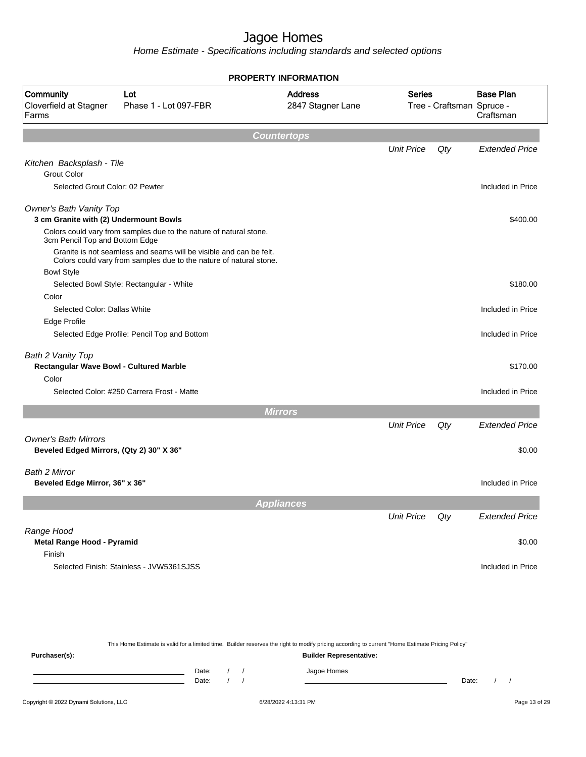Home Estimate - Specifications including standards and selected options

|                                                                          |                                                                                                                                          | <b>PROPERTY INFORMATION</b>         |                   |                           |                               |
|--------------------------------------------------------------------------|------------------------------------------------------------------------------------------------------------------------------------------|-------------------------------------|-------------------|---------------------------|-------------------------------|
| Community<br>Cloverfield at Stagner<br>Farms                             | Lot<br>Phase 1 - Lot 097-FBR                                                                                                             | <b>Address</b><br>2847 Stagner Lane | <b>Series</b>     | Tree - Craftsman Spruce - | <b>Base Plan</b><br>Craftsman |
|                                                                          |                                                                                                                                          | <b>Countertops</b>                  |                   |                           |                               |
|                                                                          |                                                                                                                                          |                                     | <b>Unit Price</b> | Qty                       | <b>Extended Price</b>         |
| Kitchen Backsplash - Tile<br><b>Grout Color</b>                          |                                                                                                                                          |                                     |                   |                           |                               |
| Selected Grout Color: 02 Pewter                                          |                                                                                                                                          |                                     |                   |                           | Included in Price             |
| <b>Owner's Bath Vanity Top</b><br>3 cm Granite with (2) Undermount Bowls |                                                                                                                                          |                                     |                   |                           | \$400.00                      |
| 3cm Pencil Top and Bottom Edge                                           | Colors could vary from samples due to the nature of natural stone.                                                                       |                                     |                   |                           |                               |
|                                                                          | Granite is not seamless and seams will be visible and can be felt.<br>Colors could vary from samples due to the nature of natural stone. |                                     |                   |                           |                               |
| <b>Bowl Style</b>                                                        | Selected Bowl Style: Rectangular - White                                                                                                 |                                     |                   |                           | \$180.00                      |
| Color                                                                    |                                                                                                                                          |                                     |                   |                           |                               |
| Selected Color: Dallas White                                             |                                                                                                                                          |                                     |                   |                           | Included in Price             |
| Edge Profile                                                             |                                                                                                                                          |                                     |                   |                           |                               |
|                                                                          | Selected Edge Profile: Pencil Top and Bottom                                                                                             |                                     |                   |                           | Included in Price             |
| Bath 2 Vanity Top                                                        |                                                                                                                                          |                                     |                   |                           |                               |
| Rectangular Wave Bowl - Cultured Marble<br>Color                         |                                                                                                                                          |                                     |                   |                           | \$170.00                      |
|                                                                          | Selected Color: #250 Carrera Frost - Matte                                                                                               |                                     |                   |                           | Included in Price             |
|                                                                          |                                                                                                                                          |                                     |                   |                           |                               |
|                                                                          |                                                                                                                                          | <b>Mirrors</b>                      |                   |                           |                               |
|                                                                          |                                                                                                                                          |                                     | <b>Unit Price</b> | Qty                       | <b>Extended Price</b>         |
| <b>Owner's Bath Mirrors</b><br>Beveled Edged Mirrors, (Qty 2) 30" X 36"  |                                                                                                                                          |                                     |                   |                           | \$0.00                        |
| Bath 2 Mirror                                                            |                                                                                                                                          |                                     |                   |                           |                               |
| Beveled Edge Mirror, 36" x 36"                                           |                                                                                                                                          |                                     |                   |                           | Included in Price             |
|                                                                          |                                                                                                                                          | <b>Appliances</b>                   |                   |                           |                               |
|                                                                          |                                                                                                                                          |                                     | <b>Unit Price</b> | Qty                       | <b>Extended Price</b>         |
| Range Hood<br>Metal Range Hood - Pyramid                                 |                                                                                                                                          |                                     |                   |                           | \$0.00                        |
| Finish                                                                   |                                                                                                                                          |                                     |                   |                           |                               |
|                                                                          | Selected Finish: Stainless - JVW5361SJSS                                                                                                 |                                     |                   |                           | Included in Price             |

This Home Estimate is valid for a limited time. Builder reserves the right to modify pricing according to current "Home Estimate Pricing Policy"

**Purchaser(s): Builder Representative:** Date: / / Jagoe Homes<br>Date: / / Jagoe Homes Date: / / Date: / /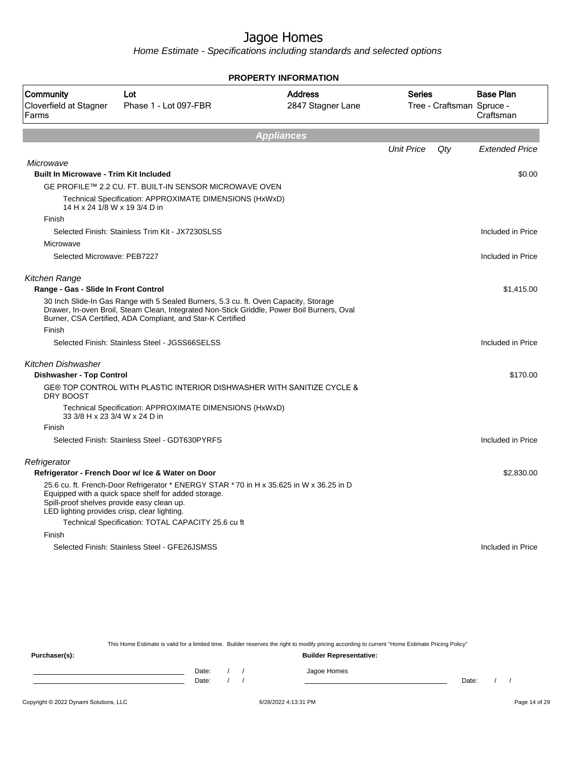Home Estimate - Specifications including standards and selected options

|                                                                                            |                                                                                                                                                                                                                                                  | <b>PROPERTY INFORMATION</b>         |                   |                           |                               |
|--------------------------------------------------------------------------------------------|--------------------------------------------------------------------------------------------------------------------------------------------------------------------------------------------------------------------------------------------------|-------------------------------------|-------------------|---------------------------|-------------------------------|
| Community<br>Cloverfield at Stagner<br>Farms                                               | Lot<br>Phase 1 - Lot 097-FBR                                                                                                                                                                                                                     | <b>Address</b><br>2847 Stagner Lane | <b>Series</b>     | Tree - Craftsman Spruce - | <b>Base Plan</b><br>Craftsman |
|                                                                                            |                                                                                                                                                                                                                                                  | <b>Appliances</b>                   |                   |                           |                               |
|                                                                                            |                                                                                                                                                                                                                                                  |                                     | <b>Unit Price</b> | Qty                       | <b>Extended Price</b>         |
| Microwave                                                                                  |                                                                                                                                                                                                                                                  |                                     |                   |                           |                               |
| <b>Built In Microwave - Trim Kit Included</b>                                              |                                                                                                                                                                                                                                                  |                                     |                   |                           | \$0.00                        |
|                                                                                            | GE PROFILE™ 2.2 CU. FT. BUILT-IN SENSOR MICROWAVE OVEN                                                                                                                                                                                           |                                     |                   |                           |                               |
| 14 H x 24 1/8 W x 19 3/4 D in                                                              | Technical Specification: APPROXIMATE DIMENSIONS (HxWxD)                                                                                                                                                                                          |                                     |                   |                           |                               |
| Finish                                                                                     |                                                                                                                                                                                                                                                  |                                     |                   |                           |                               |
|                                                                                            | Selected Finish: Stainless Trim Kit - JX7230SLSS                                                                                                                                                                                                 |                                     |                   |                           | Included in Price             |
| Microwave                                                                                  |                                                                                                                                                                                                                                                  |                                     |                   |                           |                               |
| Selected Microwave: PEB7227                                                                |                                                                                                                                                                                                                                                  |                                     |                   |                           | Included in Price             |
| <b>Kitchen Range</b>                                                                       |                                                                                                                                                                                                                                                  |                                     |                   |                           |                               |
| Range - Gas - Slide In Front Control                                                       |                                                                                                                                                                                                                                                  |                                     |                   |                           | \$1,415.00                    |
|                                                                                            | 30 Inch Slide-In Gas Range with 5 Sealed Burners, 5.3 cu. ft. Oven Capacity, Storage<br>Drawer, In-oven Broil, Steam Clean, Integrated Non-Stick Griddle, Power Boil Burners, Oval<br>Burner, CSA Certified, ADA Compliant, and Star-K Certified |                                     |                   |                           |                               |
| Finish                                                                                     |                                                                                                                                                                                                                                                  |                                     |                   |                           |                               |
|                                                                                            | Selected Finish: Stainless Steel - JGSS66SELSS                                                                                                                                                                                                   |                                     |                   |                           | Included in Price             |
| Kitchen Dishwasher                                                                         |                                                                                                                                                                                                                                                  |                                     |                   |                           |                               |
| <b>Dishwasher - Top Control</b>                                                            |                                                                                                                                                                                                                                                  |                                     |                   |                           | \$170.00                      |
| DRY BOOST                                                                                  | GE® TOP CONTROL WITH PLASTIC INTERIOR DISHWASHER WITH SANITIZE CYCLE &                                                                                                                                                                           |                                     |                   |                           |                               |
| 33 3/8 H x 23 3/4 W x 24 D in                                                              | Technical Specification: APPROXIMATE DIMENSIONS (HxWxD)                                                                                                                                                                                          |                                     |                   |                           |                               |
| Finish                                                                                     |                                                                                                                                                                                                                                                  |                                     |                   |                           |                               |
|                                                                                            | Selected Finish: Stainless Steel - GDT630PYRFS                                                                                                                                                                                                   |                                     |                   |                           | Included in Price             |
| Refrigerator                                                                               |                                                                                                                                                                                                                                                  |                                     |                   |                           |                               |
|                                                                                            | Refrigerator - French Door w/ Ice & Water on Door                                                                                                                                                                                                |                                     |                   |                           | \$2,830.00                    |
| Spill-proof shelves provide easy clean up.<br>LED lighting provides crisp, clear lighting. | 25.6 cu. ft. French-Door Refrigerator * ENERGY STAR * 70 in H x 35.625 in W x 36.25 in D<br>Equipped with a quick space shelf for added storage.                                                                                                 |                                     |                   |                           |                               |
|                                                                                            | Technical Specification: TOTAL CAPACITY 25.6 cu ft                                                                                                                                                                                               |                                     |                   |                           |                               |
| Finish                                                                                     |                                                                                                                                                                                                                                                  |                                     |                   |                           |                               |
|                                                                                            | Selected Finish: Stainless Steel - GFE26JSMSS                                                                                                                                                                                                    |                                     |                   |                           | Included in Price             |

This Home Estimate is valid for a limited time. Builder reserves the right to modify pricing according to current "Home Estimate Pricing Policy" **Purchaser(s): Builder Representative:**

Date: / / Jagoe Homes<br>Date: / / Jagoe Homes Date: / / **Date: / / 2006** Date: / / / Date: / / /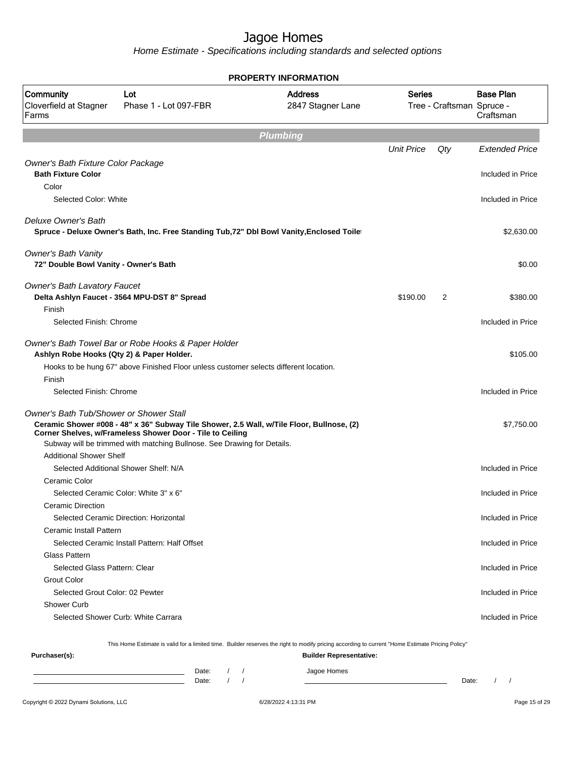Home Estimate - Specifications including standards and selected options

|                                                                                  |                                                                                                                                                                                                                                   | <b>PROPERTY INFORMATION</b>         |                   |                           |                               |
|----------------------------------------------------------------------------------|-----------------------------------------------------------------------------------------------------------------------------------------------------------------------------------------------------------------------------------|-------------------------------------|-------------------|---------------------------|-------------------------------|
| <b>Community</b><br>Cloverfield at Stagner<br>Farms                              | Lot<br>Phase 1 - Lot 097-FBR                                                                                                                                                                                                      | <b>Address</b><br>2847 Stagner Lane | <b>Series</b>     | Tree - Craftsman Spruce - | <b>Base Plan</b><br>Craftsman |
|                                                                                  |                                                                                                                                                                                                                                   | <b>Plumbing</b>                     |                   |                           |                               |
|                                                                                  |                                                                                                                                                                                                                                   |                                     | <b>Unit Price</b> | Qty                       | <b>Extended Price</b>         |
| Owner's Bath Fixture Color Package                                               |                                                                                                                                                                                                                                   |                                     |                   |                           |                               |
| <b>Bath Fixture Color</b>                                                        |                                                                                                                                                                                                                                   |                                     |                   |                           | Included in Price             |
| Color                                                                            |                                                                                                                                                                                                                                   |                                     |                   |                           |                               |
| Selected Color: White                                                            |                                                                                                                                                                                                                                   |                                     |                   |                           | Included in Price             |
| Deluxe Owner's Bath                                                              | Spruce - Deluxe Owner's Bath, Inc. Free Standing Tub, 72" Dbl Bowl Vanity, Enclosed Toile                                                                                                                                         |                                     |                   |                           | \$2,630.00                    |
| <b>Owner's Bath Vanity</b><br>72" Double Bowl Vanity - Owner's Bath              |                                                                                                                                                                                                                                   |                                     |                   |                           | \$0.00                        |
| <b>Owner's Bath Lavatory Faucet</b>                                              | Delta Ashlyn Faucet - 3564 MPU-DST 8" Spread                                                                                                                                                                                      |                                     | \$190.00          | 2                         | \$380.00                      |
| Finish                                                                           |                                                                                                                                                                                                                                   |                                     |                   |                           |                               |
| Selected Finish: Chrome                                                          |                                                                                                                                                                                                                                   |                                     |                   |                           | Included in Price             |
| Ashlyn Robe Hooks (Qty 2) & Paper Holder.                                        | Owner's Bath Towel Bar or Robe Hooks & Paper Holder                                                                                                                                                                               |                                     |                   |                           | \$105.00                      |
|                                                                                  | Hooks to be hung 67" above Finished Floor unless customer selects different location.                                                                                                                                             |                                     |                   |                           |                               |
| Finish                                                                           |                                                                                                                                                                                                                                   |                                     |                   |                           |                               |
| Selected Finish: Chrome                                                          |                                                                                                                                                                                                                                   |                                     |                   |                           | Included in Price             |
| <b>Owner's Bath Tub/Shower or Shower Stall</b><br><b>Additional Shower Shelf</b> | Ceramic Shower #008 - 48" x 36" Subway Tile Shower, 2.5 Wall, w/Tile Floor, Bullnose, (2)<br>Corner Shelves, w/Frameless Shower Door - Tile to Ceiling<br>Subway will be trimmed with matching Bullnose. See Drawing for Details. |                                     |                   |                           | \$7,750.00                    |
|                                                                                  | Selected Additional Shower Shelf: N/A                                                                                                                                                                                             |                                     |                   |                           | Included in Price             |
| Ceramic Color                                                                    |                                                                                                                                                                                                                                   |                                     |                   |                           |                               |
|                                                                                  | Selected Ceramic Color: White 3" x 6"                                                                                                                                                                                             |                                     |                   |                           | Included in Price             |
| <b>Ceramic Direction</b>                                                         |                                                                                                                                                                                                                                   |                                     |                   |                           |                               |
|                                                                                  | Selected Ceramic Direction: Horizontal                                                                                                                                                                                            |                                     |                   |                           | Included in Price             |
| Ceramic Install Pattern                                                          |                                                                                                                                                                                                                                   |                                     |                   |                           |                               |
|                                                                                  | Selected Ceramic Install Pattern: Half Offset                                                                                                                                                                                     |                                     |                   |                           | Included in Price             |
| <b>Glass Pattern</b>                                                             |                                                                                                                                                                                                                                   |                                     |                   |                           |                               |
| Selected Glass Pattern: Clear                                                    |                                                                                                                                                                                                                                   |                                     |                   |                           | Included in Price             |
| Grout Color                                                                      |                                                                                                                                                                                                                                   |                                     |                   |                           |                               |
| Selected Grout Color: 02 Pewter<br><b>Shower Curb</b>                            |                                                                                                                                                                                                                                   |                                     |                   |                           | Included in Price             |
|                                                                                  | Selected Shower Curb: White Carrara                                                                                                                                                                                               |                                     |                   |                           | Included in Price             |
|                                                                                  |                                                                                                                                                                                                                                   |                                     |                   |                           |                               |
| Purchaser(s):                                                                    | This Home Estimate is valid for a limited time. Builder reserves the right to modify pricing according to current "Home Estimate Pricing Policy"                                                                                  | <b>Builder Representative:</b>      |                   |                           |                               |
|                                                                                  | Dote:                                                                                                                                                                                                                             | Isgoe Homes                         |                   |                           |                               |

Date: / / Jagoe Homes<br>Date: / / Jagoe Homes Date: / / Date: / /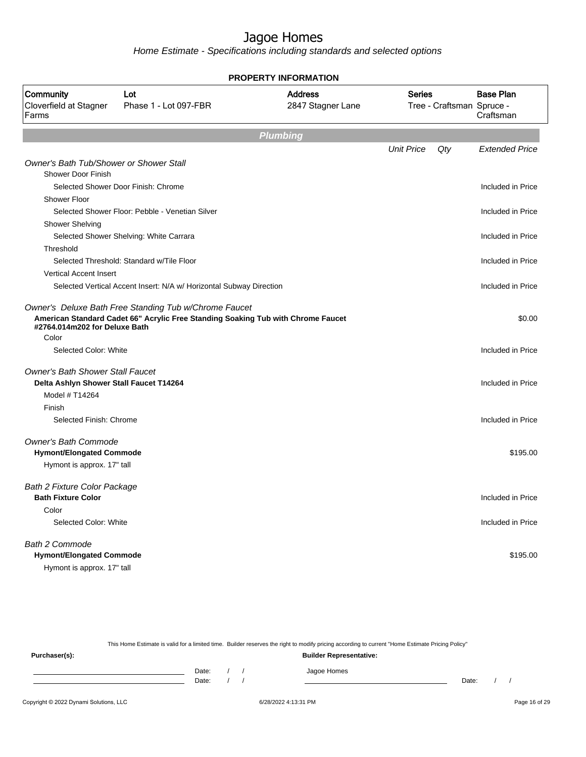Home Estimate - Specifications including standards and selected options

| PROPERTY INFORMATION                                                                         |                                                                                                                                           |                                     |                          |                                                            |  |  |
|----------------------------------------------------------------------------------------------|-------------------------------------------------------------------------------------------------------------------------------------------|-------------------------------------|--------------------------|------------------------------------------------------------|--|--|
| Community<br>Cloverfield at Stagner<br>Farms                                                 | Lot<br>Phase 1 - Lot 097-FBR                                                                                                              | <b>Address</b><br>2847 Stagner Lane | <b>Series</b>            | <b>Base Plan</b><br>Tree - Craftsman Spruce -<br>Craftsman |  |  |
|                                                                                              |                                                                                                                                           | <b>Plumbing</b>                     |                          |                                                            |  |  |
|                                                                                              |                                                                                                                                           |                                     | <b>Unit Price</b><br>Qty | <b>Extended Price</b>                                      |  |  |
| <b>Owner's Bath Tub/Shower or Shower Stall</b>                                               |                                                                                                                                           |                                     |                          |                                                            |  |  |
| <b>Shower Door Finish</b>                                                                    |                                                                                                                                           |                                     |                          |                                                            |  |  |
|                                                                                              | Selected Shower Door Finish: Chrome                                                                                                       |                                     |                          | Included in Price                                          |  |  |
| <b>Shower Floor</b>                                                                          | Selected Shower Floor: Pebble - Venetian Silver                                                                                           |                                     |                          | Included in Price                                          |  |  |
| <b>Shower Shelving</b>                                                                       |                                                                                                                                           |                                     |                          |                                                            |  |  |
|                                                                                              | Selected Shower Shelving: White Carrara                                                                                                   |                                     |                          | Included in Price                                          |  |  |
| Threshold                                                                                    |                                                                                                                                           |                                     |                          |                                                            |  |  |
|                                                                                              | Selected Threshold: Standard w/Tile Floor                                                                                                 |                                     |                          | Included in Price                                          |  |  |
| <b>Vertical Accent Insert</b>                                                                |                                                                                                                                           |                                     |                          |                                                            |  |  |
|                                                                                              | Selected Vertical Accent Insert: N/A w/ Horizontal Subway Direction                                                                       |                                     |                          | Included in Price                                          |  |  |
| #2764.014m202 for Deluxe Bath<br>Color<br>Selected Color: White                              | Owner's Deluxe Bath Free Standing Tub w/Chrome Faucet<br>American Standard Cadet 66" Acrylic Free Standing Soaking Tub with Chrome Faucet |                                     |                          | \$0.00<br>Included in Price                                |  |  |
|                                                                                              |                                                                                                                                           |                                     |                          |                                                            |  |  |
| <b>Owner's Bath Shower Stall Faucet</b><br>Delta Ashlyn Shower Stall Faucet T14264           |                                                                                                                                           |                                     |                          | Included in Price                                          |  |  |
| Model # T14264                                                                               |                                                                                                                                           |                                     |                          |                                                            |  |  |
| Finish                                                                                       |                                                                                                                                           |                                     |                          |                                                            |  |  |
| Selected Finish: Chrome                                                                      |                                                                                                                                           |                                     |                          | Included in Price                                          |  |  |
| <b>Owner's Bath Commode</b><br><b>Hymont/Elongated Commode</b><br>Hymont is approx. 17" tall |                                                                                                                                           |                                     |                          | \$195.00                                                   |  |  |
| <b>Bath 2 Fixture Color Package</b>                                                          |                                                                                                                                           |                                     |                          |                                                            |  |  |
| <b>Bath Fixture Color</b>                                                                    |                                                                                                                                           |                                     |                          | Included in Price                                          |  |  |
| Color                                                                                        |                                                                                                                                           |                                     |                          |                                                            |  |  |
| Selected Color: White                                                                        |                                                                                                                                           |                                     |                          | Included in Price                                          |  |  |
| Bath 2 Commode<br><b>Hymont/Elongated Commode</b><br>Hymont is approx. 17" tall              |                                                                                                                                           |                                     |                          | \$195.00                                                   |  |  |

This Home Estimate is valid for a limited time. Builder reserves the right to modify pricing according to current "Home Estimate Pricing Policy" **Purchaser(s): Builder Representative:** Date: / / Jagoe Homes<br>Date: / / Jagoe Homes Date: / / **Date: / / 2006** Date: / / / Date: / / /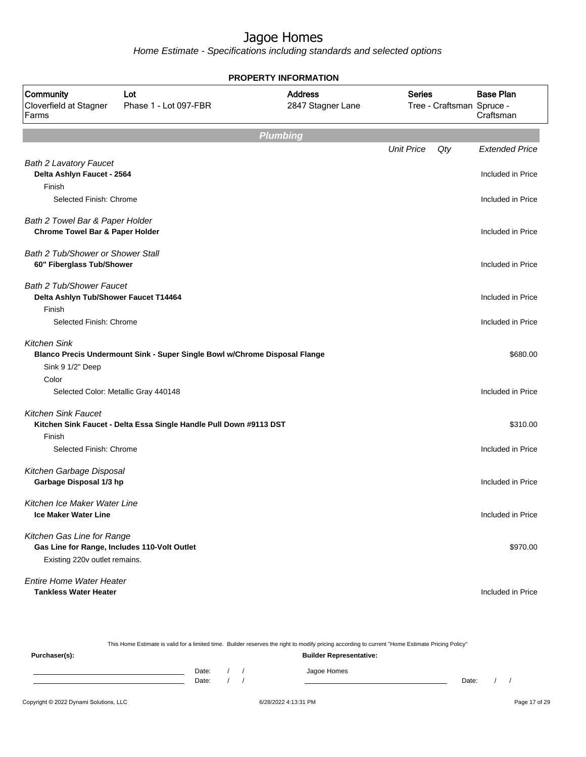|                                                                                                             |                                                                            | <b>PROPERTY INFORMATION</b>         |                   |                           |                               |
|-------------------------------------------------------------------------------------------------------------|----------------------------------------------------------------------------|-------------------------------------|-------------------|---------------------------|-------------------------------|
| Community<br>Cloverfield at Stagner<br>Farms                                                                | Lot<br>Phase 1 - Lot 097-FBR                                               | <b>Address</b><br>2847 Stagner Lane | <b>Series</b>     | Tree - Craftsman Spruce - | <b>Base Plan</b><br>Craftsman |
|                                                                                                             |                                                                            | <b>Plumbing</b>                     |                   |                           |                               |
|                                                                                                             |                                                                            |                                     | <b>Unit Price</b> | Qty                       | <b>Extended Price</b>         |
| <b>Bath 2 Lavatory Faucet</b><br>Delta Ashlyn Faucet - 2564                                                 |                                                                            |                                     |                   |                           | Included in Price             |
| Finish<br>Selected Finish: Chrome                                                                           |                                                                            |                                     |                   |                           | Included in Price             |
| Bath 2 Towel Bar & Paper Holder<br><b>Chrome Towel Bar &amp; Paper Holder</b>                               |                                                                            |                                     |                   |                           | Included in Price             |
| <b>Bath 2 Tub/Shower or Shower Stall</b><br>60" Fiberglass Tub/Shower                                       |                                                                            |                                     |                   |                           | Included in Price             |
| <b>Bath 2 Tub/Shower Faucet</b><br>Delta Ashlyn Tub/Shower Faucet T14464                                    |                                                                            |                                     |                   |                           | Included in Price             |
| Finish<br>Selected Finish: Chrome                                                                           |                                                                            |                                     |                   |                           | Included in Price             |
| <b>Kitchen Sink</b><br>Sink 9 1/2" Deep                                                                     | Blanco Precis Undermount Sink - Super Single Bowl w/Chrome Disposal Flange |                                     |                   |                           | \$680.00                      |
| Color<br>Selected Color: Metallic Gray 440148                                                               |                                                                            |                                     |                   |                           | Included in Price             |
| <b>Kitchen Sink Faucet</b><br>Finish                                                                        | Kitchen Sink Faucet - Delta Essa Single Handle Pull Down #9113 DST         |                                     |                   |                           | \$310.00                      |
| Selected Finish: Chrome                                                                                     |                                                                            |                                     |                   |                           | Included in Price             |
| Kitchen Garbage Disposal<br>Garbage Disposal 1/3 hp                                                         |                                                                            |                                     |                   |                           | Included in Price             |
| Kitchen Ice Maker Water Line<br><b>Ice Maker Water Line</b>                                                 |                                                                            |                                     |                   |                           | Included in Price             |
| Kitchen Gas Line for Range<br>Gas Line for Range, Includes 110-Volt Outlet<br>Existing 220v outlet remains. |                                                                            |                                     |                   |                           | \$970.00                      |
| <b>Entire Home Water Heater</b><br><b>Tankless Water Heater</b>                                             |                                                                            |                                     |                   |                           | Included in Price             |

|                                        |                |  | This Home Estimate is valid for a limited time. Builder reserves the right to modify pricing according to current "Home Estimate Pricing Policy" |       |  |               |
|----------------------------------------|----------------|--|--------------------------------------------------------------------------------------------------------------------------------------------------|-------|--|---------------|
| Purchaser(s):                          |                |  | <b>Builder Representative:</b>                                                                                                                   |       |  |               |
|                                        | Date:<br>Date: |  | Jagoe Homes                                                                                                                                      | Date: |  |               |
| Copyright © 2022 Dynami Solutions, LLC |                |  | 6/28/2022 4:13:31 PM                                                                                                                             |       |  | Page 17 of 29 |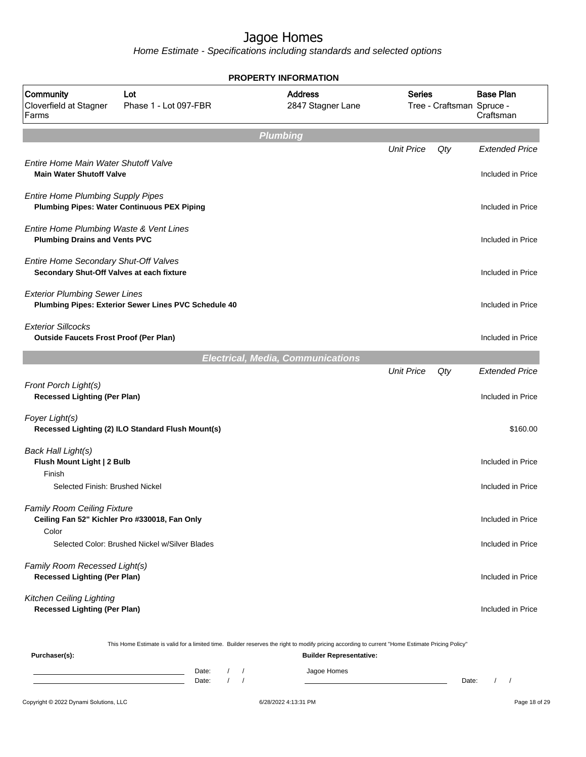|                                                                                    |                                                                                                                                                  | <b>PROPERTY INFORMATION</b>              |                   |                           |                                            |
|------------------------------------------------------------------------------------|--------------------------------------------------------------------------------------------------------------------------------------------------|------------------------------------------|-------------------|---------------------------|--------------------------------------------|
| Community<br>Cloverfield at Stagner<br>Farms                                       | Lot<br>Phase 1 - Lot 097-FBR                                                                                                                     | <b>Address</b><br>2847 Stagner Lane      | <b>Series</b>     | Tree - Craftsman Spruce - | <b>Base Plan</b><br>Craftsman              |
|                                                                                    |                                                                                                                                                  | <b>Plumbing</b>                          |                   |                           |                                            |
| Entire Home Main Water Shutoff Valve                                               |                                                                                                                                                  |                                          | <b>Unit Price</b> | Qty                       | <b>Extended Price</b>                      |
| <b>Main Water Shutoff Valve</b><br><b>Entire Home Plumbing Supply Pipes</b>        |                                                                                                                                                  |                                          |                   |                           | Included in Price                          |
|                                                                                    | <b>Plumbing Pipes: Water Continuous PEX Piping</b>                                                                                               |                                          |                   |                           | Included in Price                          |
| Entire Home Plumbing Waste & Vent Lines<br><b>Plumbing Drains and Vents PVC</b>    |                                                                                                                                                  |                                          |                   |                           | Included in Price                          |
| Entire Home Secondary Shut-Off Valves<br>Secondary Shut-Off Valves at each fixture |                                                                                                                                                  |                                          |                   |                           | Included in Price                          |
| <b>Exterior Plumbing Sewer Lines</b>                                               | Plumbing Pipes: Exterior Sewer Lines PVC Schedule 40                                                                                             |                                          |                   |                           | Included in Price                          |
| <b>Exterior Sillcocks</b><br><b>Outside Faucets Frost Proof (Per Plan)</b>         |                                                                                                                                                  |                                          |                   |                           | Included in Price                          |
|                                                                                    |                                                                                                                                                  | <b>Electrical, Media, Communications</b> |                   |                           |                                            |
| Front Porch Light(s)<br><b>Recessed Lighting (Per Plan)</b>                        |                                                                                                                                                  |                                          | <b>Unit Price</b> | Qty                       | <b>Extended Price</b><br>Included in Price |
| Foyer Light(s)                                                                     | Recessed Lighting (2) ILO Standard Flush Mount(s)                                                                                                |                                          |                   |                           | \$160.00                                   |
| Back Hall Light(s)<br>Flush Mount Light   2 Bulb                                   |                                                                                                                                                  |                                          |                   |                           | Included in Price                          |
| Finish<br>Selected Finish: Brushed Nickel                                          |                                                                                                                                                  |                                          |                   |                           | Included in Price                          |
| <b>Family Room Ceiling Fixture</b><br>Color                                        | Ceiling Fan 52" Kichler Pro #330018, Fan Only                                                                                                    |                                          |                   |                           | Included in Price                          |
|                                                                                    | Selected Color: Brushed Nickel w/Silver Blades                                                                                                   |                                          |                   |                           | Included in Price                          |
| Family Room Recessed Light(s)<br><b>Recessed Lighting (Per Plan)</b>               |                                                                                                                                                  |                                          |                   |                           | Included in Price                          |
| Kitchen Ceiling Lighting<br><b>Recessed Lighting (Per Plan)</b>                    |                                                                                                                                                  |                                          |                   |                           | Included in Price                          |
| Purchaser(s):                                                                      | This Home Estimate is valid for a limited time. Builder reserves the right to modify pricing according to current "Home Estimate Pricing Policy" | <b>Builder Representative:</b>           |                   |                           |                                            |
|                                                                                    | Date:<br>$\prime$<br>$\sqrt{2}$<br>Date:                                                                                                         | Jagoe Homes                              |                   | Date:                     | $\prime$<br>$\sqrt{ }$                     |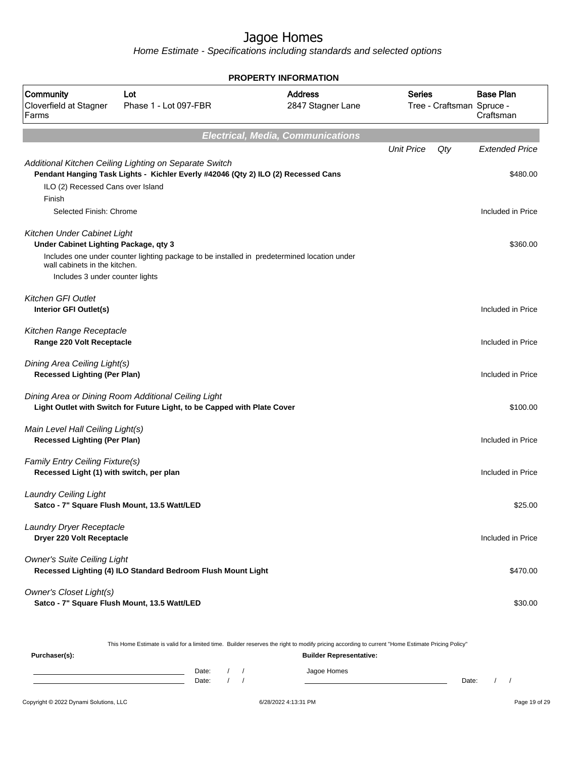Home Estimate - Specifications including standards and selected options

| <b>PROPERTY INFORMATION</b>                                                 |                                                                                                                                             |                                     |                   |                           |                               |  |  |  |  |  |
|-----------------------------------------------------------------------------|---------------------------------------------------------------------------------------------------------------------------------------------|-------------------------------------|-------------------|---------------------------|-------------------------------|--|--|--|--|--|
| Community<br>Cloverfield at Stagner<br>Farms                                | Lot<br>Phase 1 - Lot 097-FBR                                                                                                                | <b>Address</b><br>2847 Stagner Lane | <b>Series</b>     | Tree - Craftsman Spruce - | <b>Base Plan</b><br>Craftsman |  |  |  |  |  |
| <b>Electrical, Media, Communications</b>                                    |                                                                                                                                             |                                     |                   |                           |                               |  |  |  |  |  |
|                                                                             |                                                                                                                                             |                                     | <b>Unit Price</b> | Qty                       | <b>Extended Price</b>         |  |  |  |  |  |
| ILO (2) Recessed Cans over Island<br>Finish                                 | Additional Kitchen Ceiling Lighting on Separate Switch<br>Pendant Hanging Task Lights - Kichler Everly #42046 (Qty 2) ILO (2) Recessed Cans |                                     |                   |                           | \$480.00                      |  |  |  |  |  |
| Selected Finish: Chrome                                                     |                                                                                                                                             |                                     |                   |                           | Included in Price             |  |  |  |  |  |
| Kitchen Under Cabinet Light<br>Under Cabinet Lighting Package, qty 3        | Includes one under counter lighting package to be installed in predetermined location under                                                 |                                     |                   |                           | \$360.00                      |  |  |  |  |  |
| wall cabinets in the kitchen.                                               |                                                                                                                                             |                                     |                   |                           |                               |  |  |  |  |  |
| Includes 3 under counter lights                                             |                                                                                                                                             |                                     |                   |                           |                               |  |  |  |  |  |
| <b>Kitchen GFI Outlet</b><br>Interior GFI Outlet(s)                         |                                                                                                                                             |                                     |                   |                           | Included in Price             |  |  |  |  |  |
| Kitchen Range Receptacle<br>Range 220 Volt Receptacle                       |                                                                                                                                             |                                     |                   |                           | Included in Price             |  |  |  |  |  |
| Dining Area Ceiling Light(s)<br><b>Recessed Lighting (Per Plan)</b>         |                                                                                                                                             |                                     |                   |                           | Included in Price             |  |  |  |  |  |
|                                                                             | Dining Area or Dining Room Additional Ceiling Light<br>Light Outlet with Switch for Future Light, to be Capped with Plate Cover             |                                     |                   |                           | \$100.00                      |  |  |  |  |  |
| Main Level Hall Ceiling Light(s)<br><b>Recessed Lighting (Per Plan)</b>     |                                                                                                                                             |                                     |                   |                           | Included in Price             |  |  |  |  |  |
| Family Entry Ceiling Fixture(s)<br>Recessed Light (1) with switch, per plan |                                                                                                                                             |                                     |                   |                           | Included in Price             |  |  |  |  |  |
| <b>Laundry Ceiling Light</b>                                                | Satco - 7" Square Flush Mount, 13.5 Watt/LED                                                                                                |                                     |                   |                           | \$25.00                       |  |  |  |  |  |
| Laundry Dryer Receptacle<br>Dryer 220 Volt Receptacle                       |                                                                                                                                             |                                     |                   |                           | Included in Price             |  |  |  |  |  |
| <b>Owner's Suite Ceiling Light</b>                                          | Recessed Lighting (4) ILO Standard Bedroom Flush Mount Light                                                                                |                                     |                   |                           | \$470.00                      |  |  |  |  |  |
| <b>Owner's Closet Light(s)</b>                                              | Satco - 7" Square Flush Mount, 13.5 Watt/LED                                                                                                |                                     |                   |                           | \$30.00                       |  |  |  |  |  |

This Home Estimate is valid for a limited time. Builder reserves the right to modify pricing according to current "Home Estimate Pricing Policy"

| Purchaser(s): |                |  | ________<br>_______<br><b>Builder Representative:</b> |       |  |
|---------------|----------------|--|-------------------------------------------------------|-------|--|
|               | Date:<br>Date: |  | Jagoe Homes                                           | Date: |  |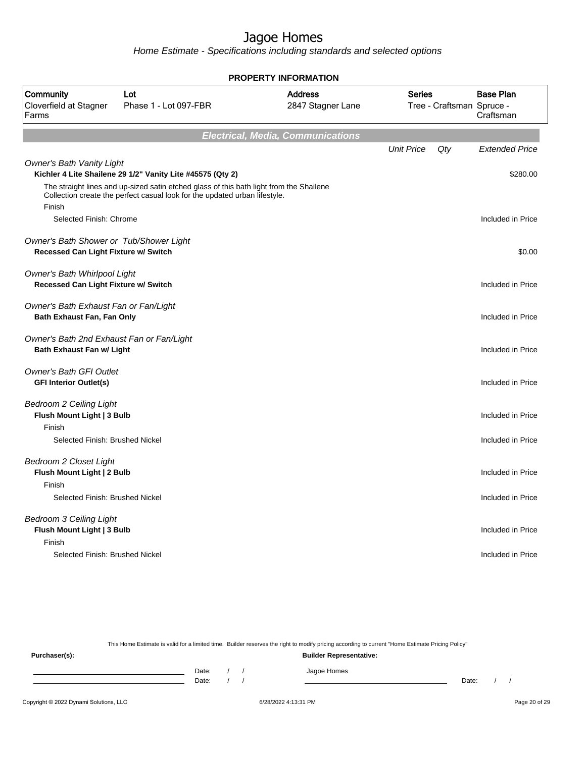Home Estimate - Specifications including standards and selected options

| <b>PROPERTY INFORMATION</b>                                                     |                                                                                                                                                                       |                                          |                                            |                               |  |  |  |  |  |
|---------------------------------------------------------------------------------|-----------------------------------------------------------------------------------------------------------------------------------------------------------------------|------------------------------------------|--------------------------------------------|-------------------------------|--|--|--|--|--|
| Community<br>Cloverfield at Stagner<br>Farms                                    | Lot<br>Phase 1 - Lot 097-FBR                                                                                                                                          | <b>Address</b><br>2847 Stagner Lane      | <b>Series</b><br>Tree - Craftsman Spruce - | <b>Base Plan</b><br>Craftsman |  |  |  |  |  |
|                                                                                 |                                                                                                                                                                       | <b>Electrical, Media, Communications</b> |                                            |                               |  |  |  |  |  |
|                                                                                 |                                                                                                                                                                       |                                          | <b>Unit Price</b><br>Qty                   | <b>Extended Price</b>         |  |  |  |  |  |
| <b>Owner's Bath Vanity Light</b>                                                | Kichler 4 Lite Shailene 29 1/2" Vanity Lite #45575 (Qty 2)                                                                                                            |                                          |                                            | \$280.00                      |  |  |  |  |  |
| Finish                                                                          | The straight lines and up-sized satin etched glass of this bath light from the Shailene<br>Collection create the perfect casual look for the updated urban lifestyle. |                                          |                                            |                               |  |  |  |  |  |
| Selected Finish: Chrome                                                         |                                                                                                                                                                       |                                          |                                            | Included in Price             |  |  |  |  |  |
| Owner's Bath Shower or Tub/Shower Light<br>Recessed Can Light Fixture w/ Switch |                                                                                                                                                                       |                                          |                                            | \$0.00                        |  |  |  |  |  |
| Owner's Bath Whirlpool Light<br>Recessed Can Light Fixture w/ Switch            |                                                                                                                                                                       |                                          |                                            | Included in Price             |  |  |  |  |  |
| Owner's Bath Exhaust Fan or Fan/Light<br>Bath Exhaust Fan, Fan Only             |                                                                                                                                                                       |                                          |                                            | Included in Price             |  |  |  |  |  |
| Owner's Bath 2nd Exhaust Fan or Fan/Light<br><b>Bath Exhaust Fan w/ Light</b>   |                                                                                                                                                                       |                                          |                                            | Included in Price             |  |  |  |  |  |
| <b>Owner's Bath GFI Outlet</b><br><b>GFI Interior Outlet(s)</b>                 |                                                                                                                                                                       |                                          |                                            | Included in Price             |  |  |  |  |  |
| <b>Bedroom 2 Ceiling Light</b><br>Flush Mount Light   3 Bulb                    |                                                                                                                                                                       |                                          |                                            | Included in Price             |  |  |  |  |  |
| Finish<br>Selected Finish: Brushed Nickel                                       |                                                                                                                                                                       |                                          |                                            | Included in Price             |  |  |  |  |  |
| <b>Bedroom 2 Closet Light</b><br>Flush Mount Light   2 Bulb                     |                                                                                                                                                                       |                                          |                                            | Included in Price             |  |  |  |  |  |
| Finish<br>Selected Finish: Brushed Nickel                                       |                                                                                                                                                                       |                                          |                                            | Included in Price             |  |  |  |  |  |
| <b>Bedroom 3 Ceiling Light</b><br>Flush Mount Light   3 Bulb<br>Finish          |                                                                                                                                                                       |                                          |                                            | Included in Price             |  |  |  |  |  |
| Selected Finish: Brushed Nickel                                                 |                                                                                                                                                                       |                                          |                                            | Included in Price             |  |  |  |  |  |

This Home Estimate is valid for a limited time. Builder reserves the right to modify pricing according to current "Home Estimate Pricing Policy"

**Purchaser(s): Builder Representative:** Date: / / Jagoe Homes<br>Date: / / Jagoe Homes Date: / / **Date: / / 2006** Date: / / / Date: / / /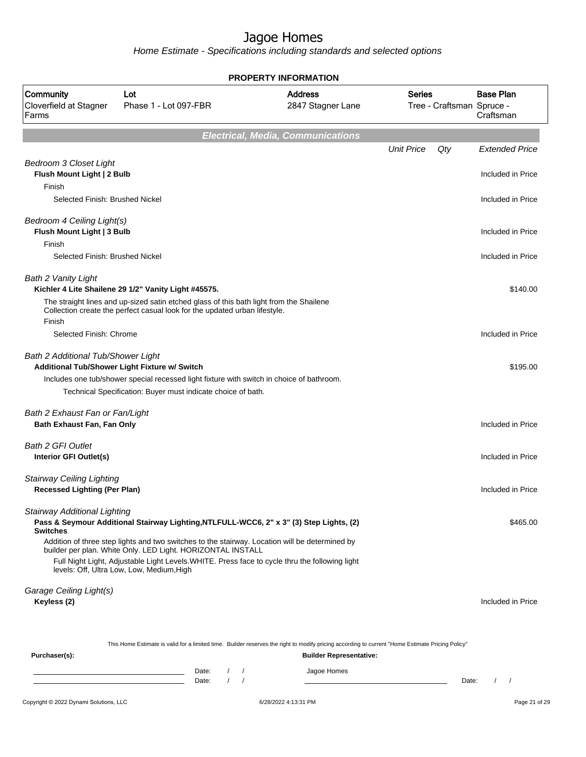| <b>PROPERTY INFORMATION</b>                                             |                                                                                                                                                                       |          |                      |                                          |                                            |       |                                            |  |  |  |
|-------------------------------------------------------------------------|-----------------------------------------------------------------------------------------------------------------------------------------------------------------------|----------|----------------------|------------------------------------------|--------------------------------------------|-------|--------------------------------------------|--|--|--|
| Community<br>Cloverfield at Stagner<br>Farms                            | Lot<br>Phase 1 - Lot 097-FBR                                                                                                                                          |          |                      | <b>Address</b><br>2847 Stagner Lane      | <b>Series</b><br>Tree - Craftsman Spruce - |       | <b>Base Plan</b><br>Craftsman              |  |  |  |
|                                                                         |                                                                                                                                                                       |          |                      | <b>Electrical, Media, Communications</b> |                                            |       |                                            |  |  |  |
| <b>Bedroom 3 Closet Light</b><br>Flush Mount Light   2 Bulb             |                                                                                                                                                                       |          |                      |                                          | <b>Unit Price</b>                          | Qty   | <b>Extended Price</b><br>Included in Price |  |  |  |
| Finish<br>Selected Finish: Brushed Nickel                               |                                                                                                                                                                       |          |                      |                                          |                                            |       | Included in Price                          |  |  |  |
| Bedroom 4 Ceiling Light(s)<br>Flush Mount Light   3 Bulb<br>Finish      |                                                                                                                                                                       |          |                      |                                          |                                            |       | Included in Price                          |  |  |  |
| Selected Finish: Brushed Nickel                                         |                                                                                                                                                                       |          |                      |                                          |                                            |       | Included in Price                          |  |  |  |
| Bath 2 Vanity Light                                                     | Kichler 4 Lite Shailene 29 1/2" Vanity Light #45575.                                                                                                                  |          |                      |                                          |                                            |       | \$140.00                                   |  |  |  |
| Finish                                                                  | The straight lines and up-sized satin etched glass of this bath light from the Shailene<br>Collection create the perfect casual look for the updated urban lifestyle. |          |                      |                                          |                                            |       |                                            |  |  |  |
| Selected Finish: Chrome                                                 |                                                                                                                                                                       |          |                      |                                          |                                            |       | Included in Price                          |  |  |  |
| Bath 2 Additional Tub/Shower Light                                      | Additional Tub/Shower Light Fixture w/ Switch                                                                                                                         |          |                      |                                          |                                            |       | \$195.00                                   |  |  |  |
|                                                                         | Includes one tub/shower special recessed light fixture with switch in choice of bathroom.<br>Technical Specification: Buyer must indicate choice of bath.             |          |                      |                                          |                                            |       |                                            |  |  |  |
| Bath 2 Exhaust Fan or Fan/Light<br>Bath Exhaust Fan, Fan Only           |                                                                                                                                                                       |          |                      |                                          |                                            |       | Included in Price                          |  |  |  |
| <b>Bath 2 GFI Outlet</b><br>Interior GFI Outlet(s)                      |                                                                                                                                                                       |          |                      |                                          |                                            |       | Included in Price                          |  |  |  |
| <b>Stairway Ceiling Lighting</b><br><b>Recessed Lighting (Per Plan)</b> |                                                                                                                                                                       |          |                      |                                          |                                            |       | Included in Price                          |  |  |  |
| <b>Stairway Additional Lighting</b><br><b>Switches</b>                  | Pass & Seymour Additional Stairway Lighting, NTLFULL-WCC6, 2" x 3" (3) Step Lights, (2)                                                                               |          |                      |                                          |                                            |       | \$465.00                                   |  |  |  |
|                                                                         | Addition of three step lights and two switches to the stairway. Location will be determined by<br>builder per plan. White Only. LED Light. HORIZONTAL INSTALL         |          |                      |                                          |                                            |       |                                            |  |  |  |
|                                                                         | Full Night Light, Adjustable Light Levels. WHITE. Press face to cycle thru the following light<br>levels: Off, Ultra Low, Low, Medium, High                           |          |                      |                                          |                                            |       |                                            |  |  |  |
| Garage Ceiling Light(s)<br>Keyless (2)                                  |                                                                                                                                                                       |          |                      |                                          |                                            |       | Included in Price                          |  |  |  |
|                                                                         | This Home Estimate is valid for a limited time. Builder reserves the right to modify pricing according to current "Home Estimate Pricing Policy"                      |          |                      |                                          |                                            |       |                                            |  |  |  |
| Purchaser(s):                                                           |                                                                                                                                                                       |          |                      | <b>Builder Representative:</b>           |                                            |       |                                            |  |  |  |
|                                                                         | Date:<br>Date:                                                                                                                                                        | $\prime$ | $\prime$<br>$\prime$ | Jagoe Homes                              |                                            | Date: | $\frac{1}{2}$                              |  |  |  |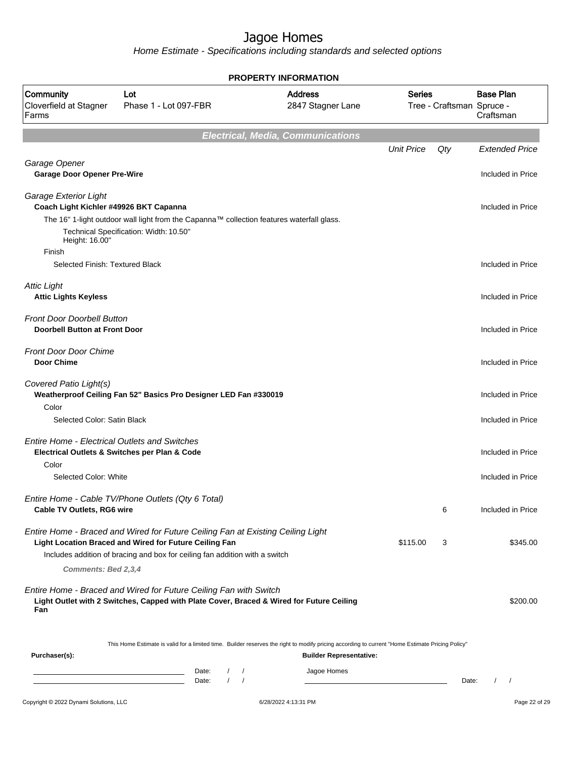| PROPERTY INFORMATION                                                      |                                                                                                                                                               |                                          |                                                               |                           |                                      |  |  |  |  |
|---------------------------------------------------------------------------|---------------------------------------------------------------------------------------------------------------------------------------------------------------|------------------------------------------|---------------------------------------------------------------|---------------------------|--------------------------------------|--|--|--|--|
| Community<br>Cloverfield at Stagner<br>Farms                              | Lot<br>Phase 1 - Lot 097-FBR                                                                                                                                  | <b>Address</b><br>2847 Stagner Lane      | <b>Series</b>                                                 | Tree - Craftsman Spruce - | <b>Base Plan</b><br>Craftsman        |  |  |  |  |
|                                                                           |                                                                                                                                                               | <b>Electrical, Media, Communications</b> |                                                               |                           |                                      |  |  |  |  |
|                                                                           |                                                                                                                                                               |                                          | <b>Unit Price</b>                                             | Qty                       | <b>Extended Price</b>                |  |  |  |  |
| Garage Opener<br><b>Garage Door Opener Pre-Wire</b>                       |                                                                                                                                                               |                                          |                                                               |                           | Included in Price                    |  |  |  |  |
| Garage Exterior Light<br>Coach Light Kichler #49926 BKT Capanna           |                                                                                                                                                               |                                          |                                                               |                           | Included in Price                    |  |  |  |  |
| Height: 16.00"                                                            | The 16" 1-light outdoor wall light from the Capanna™ collection features waterfall glass.<br>Technical Specification: Width: 10.50"                           |                                          |                                                               |                           |                                      |  |  |  |  |
| Finish                                                                    |                                                                                                                                                               |                                          |                                                               |                           |                                      |  |  |  |  |
| Selected Finish: Textured Black                                           |                                                                                                                                                               |                                          |                                                               |                           | Included in Price                    |  |  |  |  |
| <b>Attic Light</b><br><b>Attic Lights Keyless</b>                         |                                                                                                                                                               |                                          |                                                               |                           | Included in Price                    |  |  |  |  |
| <b>Front Door Doorbell Button</b><br><b>Doorbell Button at Front Door</b> |                                                                                                                                                               |                                          |                                                               |                           | Included in Price                    |  |  |  |  |
| <b>Front Door Door Chime</b><br><b>Door Chime</b>                         |                                                                                                                                                               |                                          |                                                               |                           | Included in Price                    |  |  |  |  |
| Covered Patio Light(s)<br>Color                                           | Weatherproof Ceiling Fan 52" Basics Pro Designer LED Fan #330019                                                                                              |                                          |                                                               |                           | Included in Price                    |  |  |  |  |
| Selected Color: Satin Black                                               |                                                                                                                                                               |                                          |                                                               |                           | Included in Price                    |  |  |  |  |
| <b>Entire Home - Electrical Outlets and Switches</b>                      | Electrical Outlets & Switches per Plan & Code                                                                                                                 |                                          |                                                               |                           | Included in Price                    |  |  |  |  |
| Color                                                                     |                                                                                                                                                               |                                          |                                                               |                           |                                      |  |  |  |  |
| Selected Color: White                                                     |                                                                                                                                                               |                                          |                                                               |                           | Included in Price                    |  |  |  |  |
| Cable TV Outlets, RG6 wire                                                | Entire Home - Cable TV/Phone Outlets (Qty 6 Total)                                                                                                            |                                          |                                                               | 6                         | Included in Price                    |  |  |  |  |
|                                                                           | Entire Home - Braced and Wired for Future Ceiling Fan at Existing Ceiling Light<br>Light Location Braced and Wired for Future Ceiling Fan                     |                                          | \$115.00                                                      | 3                         | \$345.00                             |  |  |  |  |
| Comments: Bed 2,3,4                                                       | Includes addition of bracing and box for ceiling fan addition with a switch                                                                                   |                                          |                                                               |                           |                                      |  |  |  |  |
| Fan                                                                       | Entire Home - Braced and Wired for Future Ceiling Fan with Switch<br>Light Outlet with 2 Switches, Capped with Plate Cover, Braced & Wired for Future Ceiling |                                          |                                                               |                           | \$200.00                             |  |  |  |  |
| Purchaser(s):                                                             | This Home Estimate is valid for a limited time. Builder reserves the right to modify pricing according to current "Home Estimate Pricing Policy"              | Builder Representative:                  |                                                               |                           |                                      |  |  |  |  |
|                                                                           | $\sqrt{ }$<br>Date:<br><u> 1989 - Johann Barn, amerikansk politiker (d. 1989)</u>                                                                             | Jagoe Homes                              |                                                               |                           |                                      |  |  |  |  |
|                                                                           | $\sqrt{ }$<br>$\sqrt{ }$<br>Date:<br><u> 1989 - Johann Barn, fransk politik (f. 1989)</u>                                                                     |                                          | <u> 1980 - Johann Barn, mars an t-Amerikaansk politiker (</u> | Date:                     | $\prime$<br>$\overline{\phantom{a}}$ |  |  |  |  |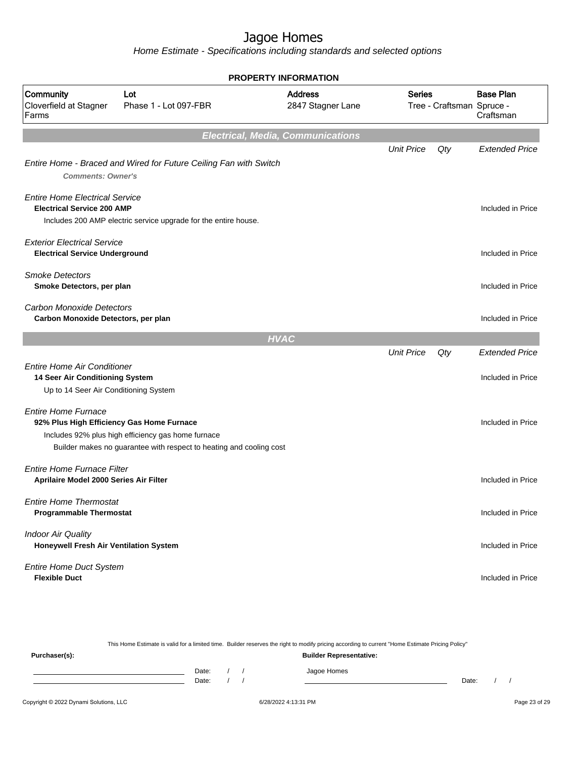|                                                                                                                | PROPERTY INFORMATION                                                                                                      |                                          |                                     |     |                                            |  |  |  |  |  |
|----------------------------------------------------------------------------------------------------------------|---------------------------------------------------------------------------------------------------------------------------|------------------------------------------|-------------------------------------|-----|--------------------------------------------|--|--|--|--|--|
| Community<br>Cloverfield at Stagner<br>Farms                                                                   | <b>Address</b><br>Lot<br>2847 Stagner Lane<br>Phase 1 - Lot 097-FBR                                                       |                                          | Series<br>Tree - Craftsman Spruce - |     | <b>Base Plan</b><br>Craftsman              |  |  |  |  |  |
|                                                                                                                |                                                                                                                           | <b>Electrical, Media, Communications</b> |                                     |     |                                            |  |  |  |  |  |
| <b>Comments: Owner's</b>                                                                                       | Entire Home - Braced and Wired for Future Ceiling Fan with Switch                                                         |                                          | <b>Unit Price</b>                   | Qty | <b>Extended Price</b>                      |  |  |  |  |  |
| <b>Entire Home Electrical Service</b><br><b>Electrical Service 200 AMP</b>                                     | Includes 200 AMP electric service upgrade for the entire house.                                                           |                                          |                                     |     | Included in Price                          |  |  |  |  |  |
| <b>Exterior Electrical Service</b><br><b>Electrical Service Underground</b>                                    |                                                                                                                           |                                          |                                     |     | Included in Price                          |  |  |  |  |  |
| <b>Smoke Detectors</b><br>Smoke Detectors, per plan                                                            |                                                                                                                           |                                          |                                     |     | Included in Price                          |  |  |  |  |  |
| <b>Carbon Monoxide Detectors</b><br>Carbon Monoxide Detectors, per plan                                        |                                                                                                                           |                                          |                                     |     | Included in Price                          |  |  |  |  |  |
|                                                                                                                |                                                                                                                           | <b>HVAC</b>                              |                                     |     |                                            |  |  |  |  |  |
| <b>Entire Home Air Conditioner</b><br>14 Seer Air Conditioning System<br>Up to 14 Seer Air Conditioning System |                                                                                                                           |                                          | <b>Unit Price</b>                   | Qty | <b>Extended Price</b><br>Included in Price |  |  |  |  |  |
| <b>Entire Home Furnace</b><br>92% Plus High Efficiency Gas Home Furnace                                        | Includes 92% plus high efficiency gas home furnace<br>Builder makes no guarantee with respect to heating and cooling cost |                                          |                                     |     | Included in Price                          |  |  |  |  |  |
| <b>Fntire Home Furnace Filter</b><br>Aprilaire Model 2000 Series Air Filter                                    |                                                                                                                           |                                          |                                     |     | Included in Price                          |  |  |  |  |  |
| <b>Entire Home Thermostat</b><br><b>Programmable Thermostat</b>                                                |                                                                                                                           |                                          |                                     |     | Included in Price                          |  |  |  |  |  |
| <b>Indoor Air Quality</b><br>Honeywell Fresh Air Ventilation System                                            |                                                                                                                           |                                          |                                     |     | Included in Price                          |  |  |  |  |  |
| Entire Home Duct System<br><b>Flexible Duct</b>                                                                |                                                                                                                           |                                          |                                     |     | Included in Price                          |  |  |  |  |  |

|               |       |  | This Home Estimate is valid for a limited time. Builder reserves the right to modify pricing according to current "Home Estimate Pricing Policy" |       |  |
|---------------|-------|--|--------------------------------------------------------------------------------------------------------------------------------------------------|-------|--|
| Purchaser(s): |       |  | <b>Builder Representative:</b>                                                                                                                   |       |  |
|               | Date: |  | Jagoe Homes                                                                                                                                      |       |  |
|               | Date: |  |                                                                                                                                                  | Date: |  |
|               |       |  |                                                                                                                                                  |       |  |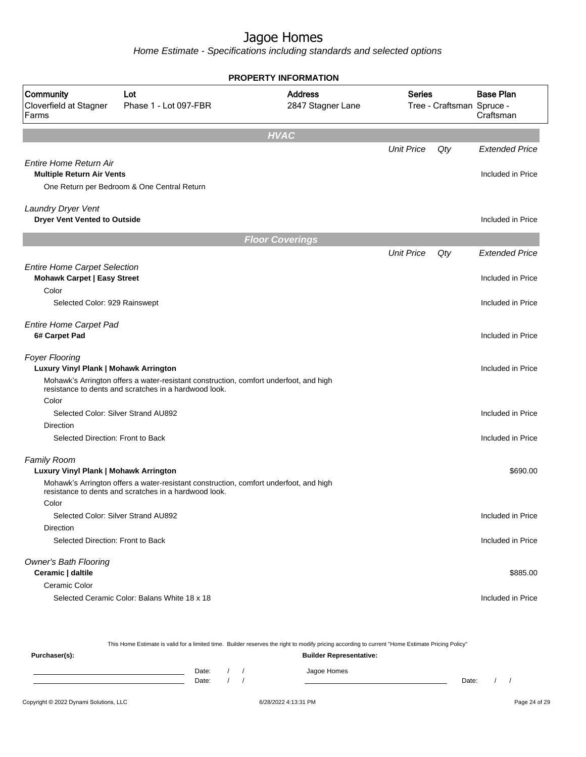|                                                                           |                                                                                                                                                | <b>PROPERTY INFORMATION</b>         |                   |                           |                               |
|---------------------------------------------------------------------------|------------------------------------------------------------------------------------------------------------------------------------------------|-------------------------------------|-------------------|---------------------------|-------------------------------|
| Community<br>Cloverfield at Stagner<br>Farms                              | Lot<br>Phase 1 - Lot 097-FBR                                                                                                                   | <b>Address</b><br>2847 Stagner Lane | Series            | Tree - Craftsman Spruce - | <b>Base Plan</b><br>Craftsman |
|                                                                           |                                                                                                                                                | <b>HVAC</b>                         |                   |                           |                               |
|                                                                           |                                                                                                                                                |                                     | <b>Unit Price</b> | Qty                       | <b>Extended Price</b>         |
| <b>Entire Home Return Air</b><br><b>Multiple Return Air Vents</b>         | One Return per Bedroom & One Central Return                                                                                                    |                                     |                   |                           | Included in Price             |
| Laundry Dryer Vent<br><b>Dryer Vent Vented to Outside</b>                 |                                                                                                                                                |                                     |                   |                           | Included in Price             |
|                                                                           |                                                                                                                                                | <b>Floor Coverings</b>              |                   |                           |                               |
|                                                                           |                                                                                                                                                |                                     | <b>Unit Price</b> | Qty                       | <b>Extended Price</b>         |
| <b>Entire Home Carpet Selection</b><br><b>Mohawk Carpet   Easy Street</b> |                                                                                                                                                |                                     |                   |                           | Included in Price             |
| Color<br>Selected Color: 929 Rainswept                                    |                                                                                                                                                |                                     |                   |                           | Included in Price             |
| <b>Entire Home Carpet Pad</b><br>6# Carpet Pad                            |                                                                                                                                                |                                     |                   |                           | Included in Price             |
| <b>Foyer Flooring</b><br>Luxury Vinyl Plank   Mohawk Arrington            |                                                                                                                                                |                                     |                   |                           | Included in Price             |
| Color                                                                     | Mohawk's Arrington offers a water-resistant construction, comfort underfoot, and high<br>resistance to dents and scratches in a hardwood look. |                                     |                   |                           |                               |
| Selected Color: Silver Strand AU892                                       |                                                                                                                                                |                                     |                   |                           | Included in Price             |
| Direction                                                                 |                                                                                                                                                |                                     |                   |                           |                               |
| Selected Direction: Front to Back                                         |                                                                                                                                                |                                     |                   |                           | Included in Price             |
| <b>Family Room</b>                                                        |                                                                                                                                                |                                     |                   |                           |                               |
| Luxury Vinyl Plank   Mohawk Arrington                                     |                                                                                                                                                |                                     |                   |                           | \$690.00                      |
|                                                                           | Mohawk's Arrington offers a water-resistant construction, comfort underfoot, and high<br>resistance to dents and scratches in a hardwood look. |                                     |                   |                           |                               |
| Color                                                                     |                                                                                                                                                |                                     |                   |                           |                               |
| Selected Color: Silver Strand AU892<br>Direction                          |                                                                                                                                                |                                     |                   |                           | Included in Price             |
| Selected Direction: Front to Back                                         |                                                                                                                                                |                                     |                   |                           | Included in Price             |
| <b>Owner's Bath Flooring</b><br>Ceramic   daltile                         |                                                                                                                                                |                                     |                   |                           | \$885.00                      |
| Ceramic Color                                                             |                                                                                                                                                |                                     |                   |                           |                               |
|                                                                           | Selected Ceramic Color: Balans White 18 x 18                                                                                                   |                                     |                   |                           | Included in Price             |

| This Home Estimate is valid for a limited time. Builder reserves the right to modify pricing according to current "Home Estimate Pricing Policy" |       |  |  |                                |       |  |  |  |
|--------------------------------------------------------------------------------------------------------------------------------------------------|-------|--|--|--------------------------------|-------|--|--|--|
| Purchaser(s):                                                                                                                                    |       |  |  | <b>Builder Representative:</b> |       |  |  |  |
|                                                                                                                                                  | Date: |  |  | Jagoe Homes                    |       |  |  |  |
|                                                                                                                                                  | Date: |  |  |                                | Date: |  |  |  |
|                                                                                                                                                  |       |  |  |                                |       |  |  |  |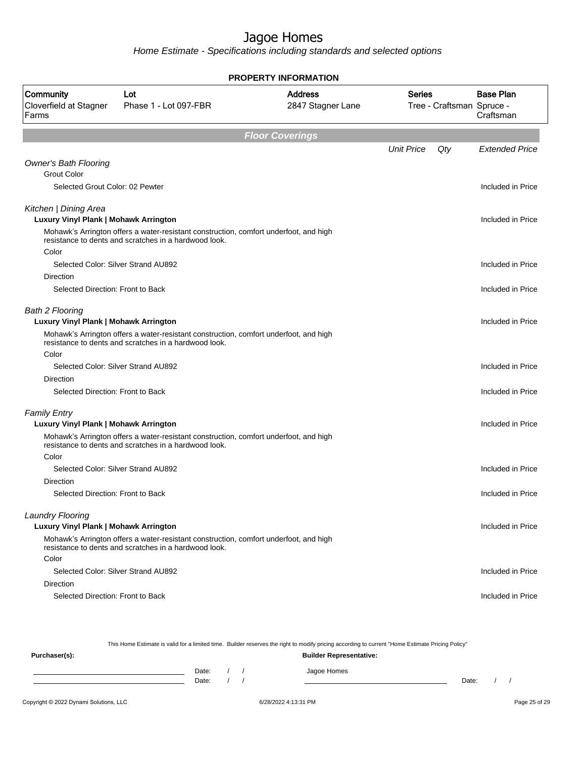Home Estimate - Specifications including standards and selected options

| <b>PROPERTY INFORMATION</b>                                     |                                                                                                                                                |                                     |                   |                                                            |                       |  |  |  |  |
|-----------------------------------------------------------------|------------------------------------------------------------------------------------------------------------------------------------------------|-------------------------------------|-------------------|------------------------------------------------------------|-----------------------|--|--|--|--|
| Community<br>Cloverfield at Stagner<br>Farms                    | Lot<br>Phase 1 - Lot 097-FBR                                                                                                                   | <b>Address</b><br>2847 Stagner Lane | <b>Series</b>     | <b>Base Plan</b><br>Tree - Craftsman Spruce -<br>Craftsman |                       |  |  |  |  |
|                                                                 |                                                                                                                                                | <b>Floor Coverings</b>              |                   |                                                            |                       |  |  |  |  |
|                                                                 |                                                                                                                                                |                                     | <b>Unit Price</b> | Qty                                                        | <b>Extended Price</b> |  |  |  |  |
| <b>Owner's Bath Flooring</b>                                    |                                                                                                                                                |                                     |                   |                                                            |                       |  |  |  |  |
| <b>Grout Color</b>                                              |                                                                                                                                                |                                     |                   |                                                            |                       |  |  |  |  |
| Selected Grout Color: 02 Pewter                                 |                                                                                                                                                |                                     |                   |                                                            | Included in Price     |  |  |  |  |
| Kitchen   Dining Area                                           |                                                                                                                                                |                                     |                   |                                                            |                       |  |  |  |  |
| Luxury Vinyl Plank   Mohawk Arrington                           |                                                                                                                                                |                                     |                   |                                                            | Included in Price     |  |  |  |  |
|                                                                 | Mohawk's Arrington offers a water-resistant construction, comfort underfoot, and high<br>resistance to dents and scratches in a hardwood look. |                                     |                   |                                                            |                       |  |  |  |  |
| Color                                                           | Selected Color: Silver Strand AU892                                                                                                            |                                     |                   |                                                            |                       |  |  |  |  |
| Direction                                                       |                                                                                                                                                |                                     |                   |                                                            | Included in Price     |  |  |  |  |
| Selected Direction: Front to Back                               |                                                                                                                                                |                                     |                   |                                                            | Included in Price     |  |  |  |  |
|                                                                 |                                                                                                                                                |                                     |                   |                                                            |                       |  |  |  |  |
| <b>Bath 2 Flooring</b><br>Luxury Vinyl Plank   Mohawk Arrington |                                                                                                                                                |                                     |                   |                                                            | Included in Price     |  |  |  |  |
|                                                                 | Mohawk's Arrington offers a water-resistant construction, comfort underfoot, and high                                                          |                                     |                   |                                                            |                       |  |  |  |  |
|                                                                 | resistance to dents and scratches in a hardwood look.                                                                                          |                                     |                   |                                                            |                       |  |  |  |  |
| Color                                                           |                                                                                                                                                |                                     |                   |                                                            |                       |  |  |  |  |
|                                                                 | Selected Color: Silver Strand AU892                                                                                                            |                                     |                   |                                                            | Included in Price     |  |  |  |  |
| Direction                                                       |                                                                                                                                                |                                     |                   |                                                            |                       |  |  |  |  |
| Selected Direction: Front to Back                               |                                                                                                                                                |                                     |                   |                                                            | Included in Price     |  |  |  |  |
| <b>Family Entry</b>                                             |                                                                                                                                                |                                     |                   |                                                            |                       |  |  |  |  |
| Luxury Vinyl Plank   Mohawk Arrington                           |                                                                                                                                                |                                     |                   |                                                            | Included in Price     |  |  |  |  |
|                                                                 | Mohawk's Arrington offers a water-resistant construction, comfort underfoot, and high<br>resistance to dents and scratches in a hardwood look. |                                     |                   |                                                            |                       |  |  |  |  |
| Color                                                           |                                                                                                                                                |                                     |                   |                                                            |                       |  |  |  |  |
|                                                                 | Selected Color: Silver Strand AU892                                                                                                            |                                     |                   |                                                            | Included in Price     |  |  |  |  |
| Direction<br>Selected Direction: Front to Back                  |                                                                                                                                                |                                     |                   |                                                            | Included in Price     |  |  |  |  |
|                                                                 |                                                                                                                                                |                                     |                   |                                                            |                       |  |  |  |  |
| Laundry Flooring                                                |                                                                                                                                                |                                     |                   |                                                            |                       |  |  |  |  |
| Luxury Vinyl Plank   Mohawk Arrington                           |                                                                                                                                                |                                     |                   |                                                            | Included in Price     |  |  |  |  |
|                                                                 | Mohawk's Arrington offers a water-resistant construction, comfort underfoot, and high<br>resistance to dents and scratches in a hardwood look. |                                     |                   |                                                            |                       |  |  |  |  |
| Color                                                           |                                                                                                                                                |                                     |                   |                                                            |                       |  |  |  |  |
|                                                                 | Selected Color: Silver Strand AU892                                                                                                            |                                     |                   |                                                            | Included in Price     |  |  |  |  |
| Direction                                                       |                                                                                                                                                |                                     |                   |                                                            |                       |  |  |  |  |
| Selected Direction: Front to Back                               |                                                                                                                                                |                                     |                   |                                                            | Included in Price     |  |  |  |  |
|                                                                 |                                                                                                                                                |                                     |                   |                                                            |                       |  |  |  |  |

This Home Estimate is valid for a limited time. Builder reserves the right to modify pricing according to current "Home Estimate Pricing Policy"

| Purchaser(s): |                |  | <b>Builder Representative:</b> |       |  |
|---------------|----------------|--|--------------------------------|-------|--|
|               | Date:<br>Date: |  | Jagoe Homes                    | Date: |  |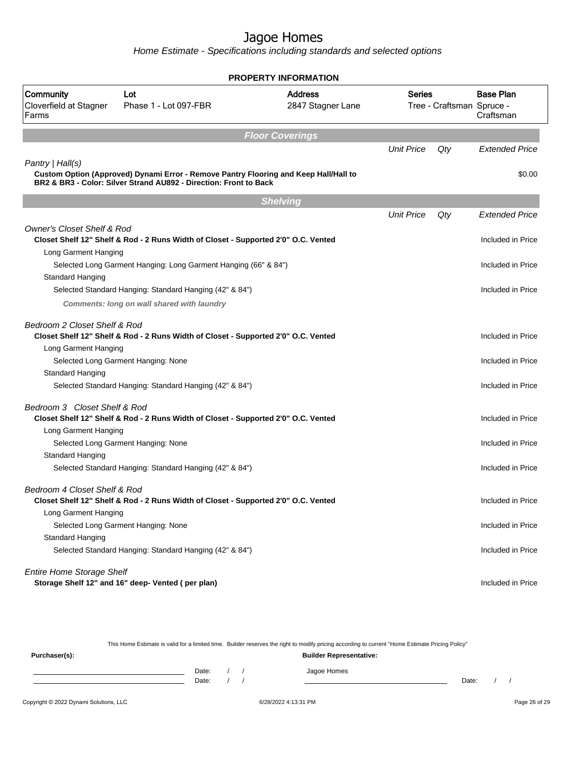Home Estimate - Specifications including standards and selected options

|                                              |                                                                                                                                                           | <b>PROPERTY INFORMATION</b>         |                   |                           |                               |
|----------------------------------------------|-----------------------------------------------------------------------------------------------------------------------------------------------------------|-------------------------------------|-------------------|---------------------------|-------------------------------|
| Community<br>Cloverfield at Stagner<br>Farms | Lot<br>Phase 1 - Lot 097-FBR                                                                                                                              | <b>Address</b><br>2847 Stagner Lane | Series            | Tree - Craftsman Spruce - | <b>Base Plan</b><br>Craftsman |
|                                              |                                                                                                                                                           |                                     |                   |                           |                               |
|                                              |                                                                                                                                                           | <b>Floor Coverings</b>              |                   |                           |                               |
|                                              |                                                                                                                                                           |                                     | <b>Unit Price</b> | Qty                       | <b>Extended Price</b>         |
| Pantry   Hall(s)                             |                                                                                                                                                           |                                     |                   |                           |                               |
|                                              | Custom Option (Approved) Dynami Error - Remove Pantry Flooring and Keep Hall/Hall to<br>BR2 & BR3 - Color: Silver Strand AU892 - Direction: Front to Back |                                     |                   |                           | \$0.00                        |
|                                              |                                                                                                                                                           | <b>Shelving</b>                     |                   |                           |                               |
|                                              |                                                                                                                                                           |                                     | <b>Unit Price</b> | Qty                       | <b>Extended Price</b>         |
| <b>Owner's Closet Shelf &amp; Rod</b>        |                                                                                                                                                           |                                     |                   |                           |                               |
|                                              | Closet Shelf 12" Shelf & Rod - 2 Runs Width of Closet - Supported 2'0" O.C. Vented                                                                        |                                     |                   |                           | Included in Price             |
| Long Garment Hanging                         |                                                                                                                                                           |                                     |                   |                           |                               |
|                                              | Selected Long Garment Hanging: Long Garment Hanging (66" & 84")                                                                                           |                                     |                   |                           | Included in Price             |
| Standard Hanging                             |                                                                                                                                                           |                                     |                   |                           |                               |
|                                              | Selected Standard Hanging: Standard Hanging (42" & 84")                                                                                                   |                                     |                   |                           | Included in Price             |
|                                              | Comments: long on wall shared with laundry                                                                                                                |                                     |                   |                           |                               |
| Bedroom 2 Closet Shelf & Rod                 |                                                                                                                                                           |                                     |                   |                           |                               |
|                                              | Closet Shelf 12" Shelf & Rod - 2 Runs Width of Closet - Supported 2'0" O.C. Vented                                                                        |                                     |                   |                           | Included in Price             |
| Long Garment Hanging                         |                                                                                                                                                           |                                     |                   |                           |                               |
|                                              | Selected Long Garment Hanging: None                                                                                                                       |                                     |                   |                           | Included in Price             |
| Standard Hanging                             |                                                                                                                                                           |                                     |                   |                           |                               |
|                                              | Selected Standard Hanging: Standard Hanging (42" & 84")                                                                                                   |                                     |                   |                           | Included in Price             |
| Bedroom 3 Closet Shelf & Rod                 |                                                                                                                                                           |                                     |                   |                           |                               |
|                                              | Closet Shelf 12" Shelf & Rod - 2 Runs Width of Closet - Supported 2'0" O.C. Vented                                                                        |                                     |                   |                           | Included in Price             |
| Long Garment Hanging                         |                                                                                                                                                           |                                     |                   |                           |                               |
|                                              | Selected Long Garment Hanging: None                                                                                                                       |                                     |                   |                           | Included in Price             |
| Standard Hanging                             |                                                                                                                                                           |                                     |                   |                           |                               |
|                                              | Selected Standard Hanging: Standard Hanging (42" & 84")                                                                                                   |                                     |                   |                           | Included in Price             |
| Bedroom 4 Closet Shelf & Rod                 |                                                                                                                                                           |                                     |                   |                           |                               |
|                                              | Closet Shelf 12" Shelf & Rod - 2 Runs Width of Closet - Supported 2'0" O.C. Vented                                                                        |                                     |                   |                           | Included in Price             |
| Long Garment Hanging                         |                                                                                                                                                           |                                     |                   |                           |                               |
|                                              | Selected Long Garment Hanging: None                                                                                                                       |                                     |                   |                           | Included in Price             |
| Standard Hanging                             |                                                                                                                                                           |                                     |                   |                           |                               |
|                                              | Selected Standard Hanging: Standard Hanging (42" & 84")                                                                                                   |                                     |                   |                           | Included in Price             |
| <b>Entire Home Storage Shelf</b>             |                                                                                                                                                           |                                     |                   |                           |                               |
|                                              | Storage Shelf 12" and 16" deep- Vented (per plan)                                                                                                         |                                     |                   |                           | Included in Price             |

This Home Estimate is valid for a limited time. Builder reserves the right to modify pricing according to current "Home Estimate Pricing Policy" **Purchaser(s): Builder Representative:** Date: / / Jagoe Homes<br>Date: / / Jagoe Homes Date: / / Date: / /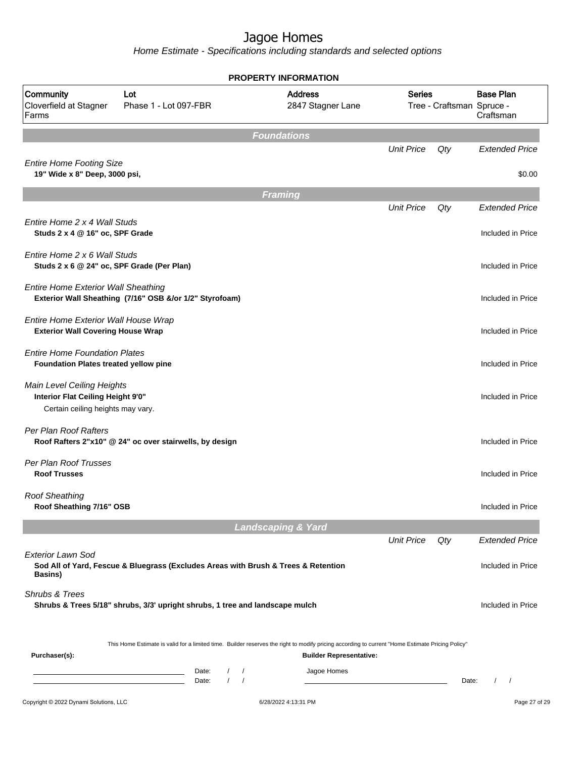|                                                                                                      |                                                                                                                                                  | <b>PROPERTY INFORMATION</b>         |                   |                           |                               |
|------------------------------------------------------------------------------------------------------|--------------------------------------------------------------------------------------------------------------------------------------------------|-------------------------------------|-------------------|---------------------------|-------------------------------|
| Community<br>Cloverfield at Stagner<br>Farms                                                         | Lot<br>Phase 1 - Lot 097-FBR                                                                                                                     | <b>Address</b><br>2847 Stagner Lane | <b>Series</b>     | Tree - Craftsman Spruce - | <b>Base Plan</b><br>Craftsman |
|                                                                                                      |                                                                                                                                                  | <b>Foundations</b>                  |                   |                           |                               |
|                                                                                                      |                                                                                                                                                  |                                     | <b>Unit Price</b> | Qty                       | <b>Extended Price</b>         |
| <b>Entire Home Footing Size</b><br>19" Wide x 8" Deep, 3000 psi,                                     |                                                                                                                                                  |                                     |                   |                           | \$0.00                        |
|                                                                                                      |                                                                                                                                                  | Framing                             |                   |                           |                               |
|                                                                                                      |                                                                                                                                                  |                                     | <b>Unit Price</b> | Qty                       | <b>Extended Price</b>         |
| Entire Home 2 x 4 Wall Studs<br>Studs 2 x 4 @ 16" oc, SPF Grade                                      |                                                                                                                                                  |                                     |                   |                           | Included in Price             |
| Entire Home 2 x 6 Wall Studs<br>Studs 2 x 6 @ 24" oc, SPF Grade (Per Plan)                           |                                                                                                                                                  |                                     |                   |                           | Included in Price             |
| <b>Entire Home Exterior Wall Sheathing</b>                                                           | Exterior Wall Sheathing (7/16" OSB &/or 1/2" Styrofoam)                                                                                          |                                     |                   |                           | Included in Price             |
| Entire Home Exterior Wall House Wrap<br><b>Exterior Wall Covering House Wrap</b>                     |                                                                                                                                                  |                                     |                   |                           | Included in Price             |
| <b>Entire Home Foundation Plates</b><br>Foundation Plates treated yellow pine                        |                                                                                                                                                  |                                     |                   |                           | Included in Price             |
| Main Level Ceiling Heights<br>Interior Flat Ceiling Height 9'0"<br>Certain ceiling heights may vary. |                                                                                                                                                  |                                     |                   |                           | Included in Price             |
| Per Plan Roof Rafters                                                                                | Roof Rafters 2"x10" @ 24" oc over stairwells, by design                                                                                          |                                     |                   |                           | Included in Price             |
| Per Plan Roof Trusses<br><b>Roof Trusses</b>                                                         |                                                                                                                                                  |                                     |                   |                           | Included in Price             |
| <b>Roof Sheathing</b><br>Roof Sheathing 7/16" OSB                                                    |                                                                                                                                                  |                                     |                   |                           | Included in Price             |
|                                                                                                      |                                                                                                                                                  | <b>Landscaping &amp; Yard</b>       |                   |                           |                               |
|                                                                                                      |                                                                                                                                                  |                                     | <b>Unit Price</b> | Qty                       | <b>Extended Price</b>         |
| <b>Exterior Lawn Sod</b><br><b>Basins</b> )                                                          | Sod All of Yard, Fescue & Bluegrass (Excludes Areas with Brush & Trees & Retention                                                               |                                     |                   |                           | Included in Price             |
| Shrubs & Trees                                                                                       | Shrubs & Trees 5/18" shrubs, 3/3' upright shrubs, 1 tree and landscape mulch                                                                     |                                     |                   |                           | Included in Price             |
| Purchaser(s):                                                                                        | This Home Estimate is valid for a limited time. Builder reserves the right to modify pricing according to current "Home Estimate Pricing Policy" | <b>Builder Representative:</b>      |                   |                           |                               |
|                                                                                                      | Date:<br>$\sqrt{2}$<br>$\sqrt{ }$<br>$\sqrt{ }$<br>$\prime$<br>Date:                                                                             | Jagoe Homes                         |                   | Date:                     | $\sqrt{2}$<br>$\sqrt{ }$      |
| Copyright © 2022 Dynami Solutions, LLC                                                               |                                                                                                                                                  | 6/28/2022 4:13:31 PM                |                   |                           | Page 27 of 29                 |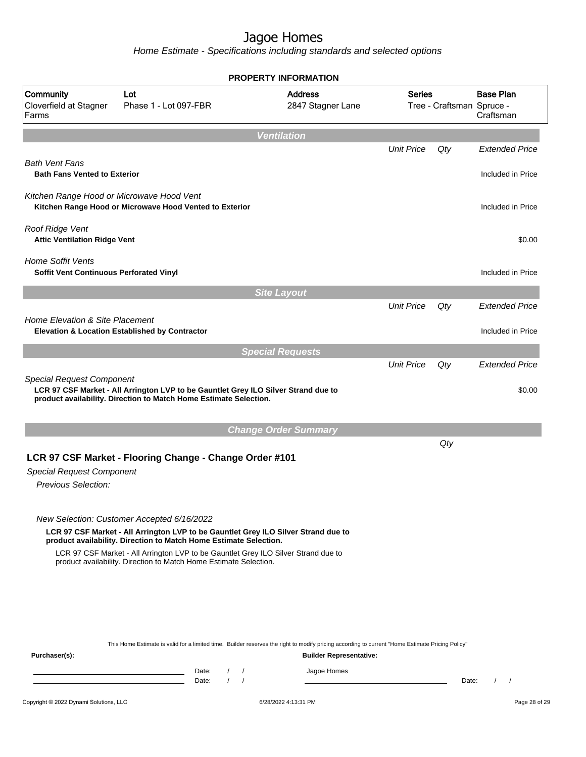|                                                                     |                                                                                                                                                                                                                                                                                                                                                                  |                         | <b>PROPERTY INFORMATION</b>                   |                   |                           |                               |
|---------------------------------------------------------------------|------------------------------------------------------------------------------------------------------------------------------------------------------------------------------------------------------------------------------------------------------------------------------------------------------------------------------------------------------------------|-------------------------|-----------------------------------------------|-------------------|---------------------------|-------------------------------|
| Community<br>Cloverfield at Stagner<br>Farms                        | Lot<br>Phase 1 - Lot 097-FBR                                                                                                                                                                                                                                                                                                                                     |                         | <b>Address</b><br>2847 Stagner Lane           | <b>Series</b>     | Tree - Craftsman Spruce - | <b>Base Plan</b><br>Craftsman |
|                                                                     |                                                                                                                                                                                                                                                                                                                                                                  | <b>Ventilation</b>      |                                               |                   |                           |                               |
|                                                                     |                                                                                                                                                                                                                                                                                                                                                                  |                         |                                               | <b>Unit Price</b> | Qty                       | <b>Extended Price</b>         |
| <b>Bath Vent Fans</b><br><b>Bath Fans Vented to Exterior</b>        |                                                                                                                                                                                                                                                                                                                                                                  |                         |                                               |                   |                           | Included in Price             |
| Kitchen Range Hood or Microwave Hood Vent                           | Kitchen Range Hood or Microwave Hood Vented to Exterior                                                                                                                                                                                                                                                                                                          |                         |                                               |                   |                           | Included in Price             |
| Roof Ridge Vent<br><b>Attic Ventilation Ridge Vent</b>              |                                                                                                                                                                                                                                                                                                                                                                  |                         |                                               |                   |                           | \$0.00                        |
| <b>Home Soffit Vents</b><br>Soffit Vent Continuous Perforated Vinyl |                                                                                                                                                                                                                                                                                                                                                                  |                         |                                               |                   |                           | Included in Price             |
|                                                                     |                                                                                                                                                                                                                                                                                                                                                                  | <b>Site Layout</b>      |                                               |                   |                           |                               |
|                                                                     |                                                                                                                                                                                                                                                                                                                                                                  |                         |                                               | <b>Unit Price</b> | Qty                       | <b>Extended Price</b>         |
| Home Elevation & Site Placement                                     | <b>Elevation &amp; Location Established by Contractor</b>                                                                                                                                                                                                                                                                                                        |                         |                                               |                   |                           | Included in Price             |
|                                                                     |                                                                                                                                                                                                                                                                                                                                                                  | <b>Special Requests</b> |                                               |                   |                           |                               |
| <b>Special Request Component</b>                                    | LCR 97 CSF Market - All Arrington LVP to be Gauntlet Grey ILO Silver Strand due to<br>product availability. Direction to Match Home Estimate Selection.                                                                                                                                                                                                          |                         |                                               |                   |                           | \$0.00                        |
|                                                                     |                                                                                                                                                                                                                                                                                                                                                                  |                         | <b>Change Order Summary</b>                   |                   |                           |                               |
| <b>Special Request Component</b><br><b>Previous Selection:</b>      | LCR 97 CSF Market - Flooring Change - Change Order #101                                                                                                                                                                                                                                                                                                          |                         |                                               |                   | Qty                       |                               |
|                                                                     | New Selection: Customer Accepted 6/16/2022<br>LCR 97 CSF Market - All Arrington LVP to be Gauntlet Grey ILO Silver Strand due to<br>product availability. Direction to Match Home Estimate Selection.<br>LCR 97 CSF Market - All Arrington LVP to be Gauntlet Grey ILO Silver Strand due to<br>product availability. Direction to Match Home Estimate Selection. |                         |                                               |                   |                           |                               |
| Purchaser(s):                                                       | This Home Estimate is valid for a limited time. Builder reserves the right to modify pricing according to current "Home Estimate Pricing Policy"<br>Date:<br>the control of the control of the control of the control of the control of                                                                                                                          | $1 \quad 1$             | <b>Builder Representative:</b><br>Jagoe Homes |                   |                           |                               |
|                                                                     | Date:                                                                                                                                                                                                                                                                                                                                                            | $1 \quad 1$             |                                               |                   | Date:                     | $\left  \right $              |